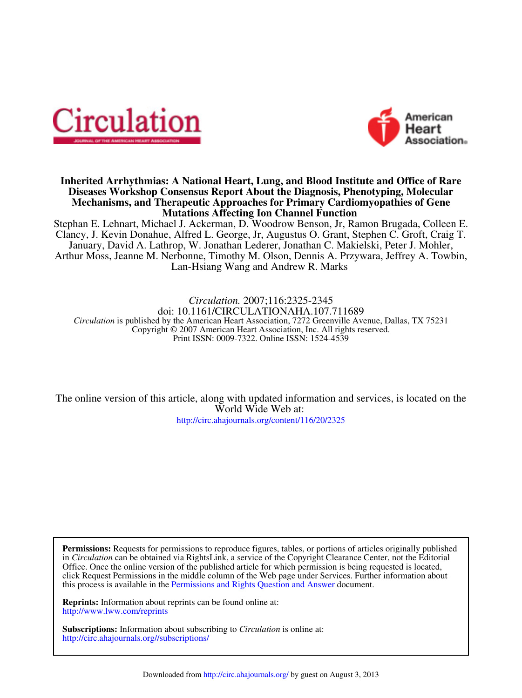



# **Mutations Affecting Ion Channel Function Mechanisms, and Therapeutic Approaches for Primary Cardiomyopathies of Gene Diseases Workshop Consensus Report About the Diagnosis, Phenotyping, Molecular Inherited Arrhythmias: A National Heart, Lung, and Blood Institute and Office of Rare**

Lan-Hsiang Wang and Andrew R. Marks Arthur Moss, Jeanne M. Nerbonne, Timothy M. Olson, Dennis A. Przywara, Jeffrey A. Towbin, January, David A. Lathrop, W. Jonathan Lederer, Jonathan C. Makielski, Peter J. Mohler, Clancy, J. Kevin Donahue, Alfred L. George, Jr, Augustus O. Grant, Stephen C. Groft, Craig T. Stephan E. Lehnart, Michael J. Ackerman, D. Woodrow Benson, Jr, Ramon Brugada, Colleen E.

Print ISSN: 0009-7322. Online ISSN: 1524-4539 Copyright © 2007 American Heart Association, Inc. All rights reserved. *Circulation* is published by the American Heart Association, 7272 Greenville Avenue, Dallas, TX 75231 doi: 10.1161/CIRCULATIONAHA.107.711689 *Circulation.* 2007;116:2325-2345

http://circ.ahajournals.org/content/116/20/2325 World Wide Web at: The online version of this article, along with updated information and services, is located on the

this process is available in the Permissions and Rights Question and Answer document. click Request Permissions in the middle column of the Web page under Services. Further information about Office. Once the online version of the published article for which permission is being requested is located, in *Circulation* can be obtained via RightsLink, a service of the Copyright Clearance Center, not the Editorial **Permissions:** Requests for permissions to reproduce figures, tables, or portions of articles originally published

http://www.lww.com/reprints **Reprints:** Information about reprints can be found online at:

http://circ.ahajournals.org//subscriptions/ **Subscriptions:** Information about subscribing to *Circulation* is online at: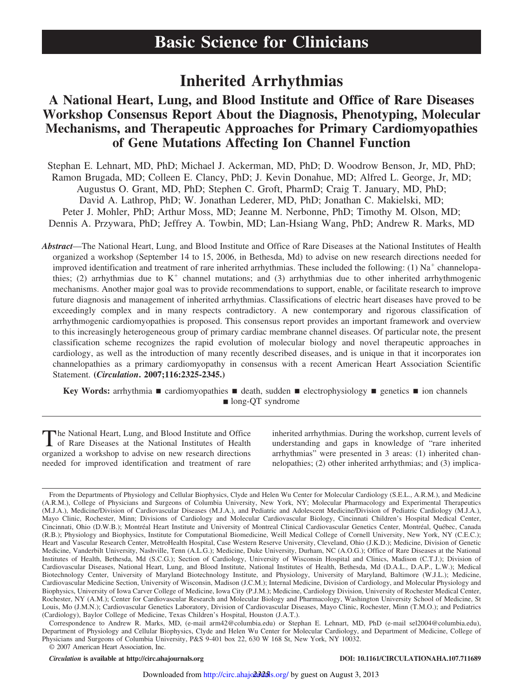# **Inherited Arrhythmias**

# **A National Heart, Lung, and Blood Institute and Office of Rare Diseases Workshop Consensus Report About the Diagnosis, Phenotyping, Molecular Mechanisms, and Therapeutic Approaches for Primary Cardiomyopathies of Gene Mutations Affecting Ion Channel Function**

Stephan E. Lehnart, MD, PhD; Michael J. Ackerman, MD, PhD; D. Woodrow Benson, Jr, MD, PhD; Ramon Brugada, MD; Colleen E. Clancy, PhD; J. Kevin Donahue, MD; Alfred L. George, Jr, MD; Augustus O. Grant, MD, PhD; Stephen C. Groft, PharmD; Craig T. January, MD, PhD; David A. Lathrop, PhD; W. Jonathan Lederer, MD, PhD; Jonathan C. Makielski, MD; Peter J. Mohler, PhD; Arthur Moss, MD; Jeanne M. Nerbonne, PhD; Timothy M. Olson, MD; Dennis A. Przywara, PhD; Jeffrey A. Towbin, MD; Lan-Hsiang Wang, PhD; Andrew R. Marks, MD

*Abstract*—The National Heart, Lung, and Blood Institute and Office of Rare Diseases at the National Institutes of Health organized a workshop (September 14 to 15, 2006, in Bethesda, Md) to advise on new research directions needed for improved identification and treatment of rare inherited arrhythmias. These included the following:  $(1)$  Na<sup>+</sup> channelopathies; (2) arrhythmias due to  $K^+$  channel mutations; and (3) arrhythmias due to other inherited arrhythmogenic mechanisms. Another major goal was to provide recommendations to support, enable, or facilitate research to improve future diagnosis and management of inherited arrhythmias. Classifications of electric heart diseases have proved to be exceedingly complex and in many respects contradictory. A new contemporary and rigorous classification of arrhythmogenic cardiomyopathies is proposed. This consensus report provides an important framework and overview to this increasingly heterogeneous group of primary cardiac membrane channel diseases. Of particular note, the present classification scheme recognizes the rapid evolution of molecular biology and novel therapeutic approaches in cardiology, as well as the introduction of many recently described diseases, and is unique in that it incorporates ion channelopathies as a primary cardiomyopathy in consensus with a recent American Heart Association Scientific Statement. **(***Circulation***. 2007;116:2325-2345.)**

**Key Words:** arrhythmia  $\blacksquare$  cardiomyopathies  $\blacksquare$  death, sudden  $\blacksquare$  electrophysiology  $\blacksquare$  genetics  $\blacksquare$  ion channels long-QT syndrome

The National Heart, Lung, and Blood Institute and Office<br>of Rare Diseases at the National Institutes of Health of Rare Diseases at the National Institutes of Health organized a workshop to advise on new research directions needed for improved identification and treatment of rare inherited arrhythmias. During the workshop, current levels of understanding and gaps in knowledge of "rare inherited arrhythmias" were presented in 3 areas: (1) inherited channelopathies; (2) other inherited arrhythmias; and (3) implica-

© 2007 American Heart Association, Inc.

From the Departments of Physiology and Cellular Biophysics, Clyde and Helen Wu Center for Molecular Cardiology (S.E.L., A.R.M.), and Medicine (A.R.M.), College of Physicians and Surgeons of Columbia University, New York, NY; Molecular Pharmacology and Experimental Therapeutics (M.J.A.), Medicine/Division of Cardiovascular Diseases (M.J.A.), and Pediatric and Adolescent Medicine/Division of Pediatric Cardiology (M.J.A.), Mayo Clinic, Rochester, Minn; Divisions of Cardiology and Molecular Cardiovascular Biology, Cincinnati Children's Hospital Medical Center, Cincinnati, Ohio (D.W.B.); Montréal Heart Institute and University of Montreal Clinical Cardiovascular Genetics Center, Montréal, Québec, Canada (R.B.); Physiology and Biophysics, Institute for Computational Biomedicine, Weill Medical College of Cornell University, New York, NY (C.E.C.); Heart and Vascular Research Center, MetroHealth Hospital, Case Western Reserve University, Cleveland, Ohio (J.K.D.); Medicine, Division of Genetic Medicine, Vanderbilt University, Nashville, Tenn (A.L.G.); Medicine, Duke University, Durham, NC (A.O.G.); Office of Rare Diseases at the National Institutes of Health, Bethesda, Md (S.C.G.); Section of Cardiology, University of Wisconsin Hospital and Clinics, Madison (C.T.J.); Division of Cardiovascular Diseases, National Heart, Lung, and Blood Institute, National Institutes of Health, Bethesda, Md (D.A.L., D.A.P., L.W.); Medical Biotechnology Center, University of Maryland Biotechnology Institute, and Physiology, University of Maryland, Baltimore (W.J.L.); Medicine, Cardiovascular Medicine Section, University of Wisconsin, Madison (J.C.M.); Internal Medicine, Division of Cardiology, and Molecular Physiology and Biophysics, University of Iowa Carver College of Medicine, Iowa City (P.J.M.); Medicine, Cardiology Division, University of Rochester Medical Center, Rochester, NY (A.M.); Center for Cardiovascular Research and Molecular Biology and Pharmacology, Washington University School of Medicine, St Louis, Mo (J.M.N.); Cardiovascular Genetics Laboratory, Division of Cardiovascular Diseases, Mayo Clinic, Rochester, Minn (T.M.O.); and Pediatrics (Cardiology), Baylor College of Medicine, Texas Children's Hospital, Houston (J.A.T.).

Correspondence to Andrew R. Marks, MD, (e-mail arm42@columbia.edu) or Stephan E. Lehnart, MD, PhD (e-mail sel2004@columbia.edu), Department of Physiology and Cellular Biophysics, Clyde and Helen Wu Center for Molecular Cardiology, and Department of Medicine, College of Physicians and Surgeons of Columbia University, P&S 9-401 box 22, 630 W 168 St, New York, NY 10032.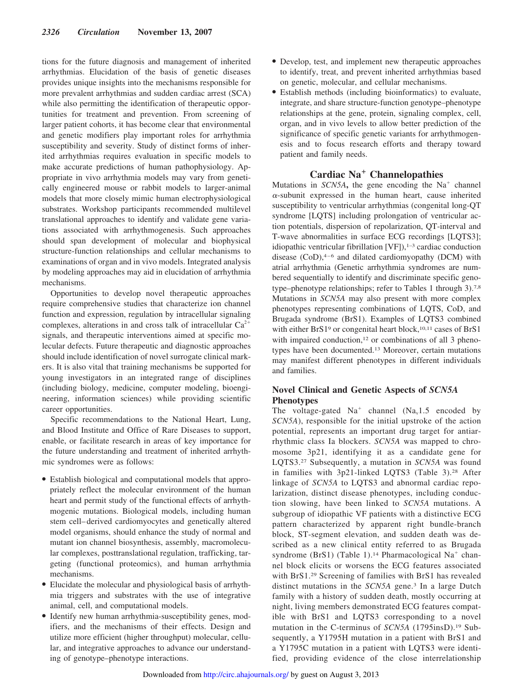tions for the future diagnosis and management of inherited arrhythmias. Elucidation of the basis of genetic diseases provides unique insights into the mechanisms responsible for more prevalent arrhythmias and sudden cardiac arrest (SCA) while also permitting the identification of therapeutic opportunities for treatment and prevention. From screening of larger patient cohorts, it has become clear that environmental and genetic modifiers play important roles for arrhythmia susceptibility and severity. Study of distinct forms of inherited arrhythmias requires evaluation in specific models to make accurate predictions of human pathophysiology. Appropriate in vivo arrhythmia models may vary from genetically engineered mouse or rabbit models to larger-animal models that more closely mimic human electrophysiological substrates. Workshop participants recommended multilevel translational approaches to identify and validate gene variations associated with arrhythmogenesis. Such approaches should span development of molecular and biophysical structure-function relationships and cellular mechanisms to examinations of organ and in vivo models. Integrated analysis by modeling approaches may aid in elucidation of arrhythmia mechanisms.

Opportunities to develop novel therapeutic approaches require comprehensive studies that characterize ion channel function and expression, regulation by intracellular signaling complexes, alterations in and cross talk of intracellular  $Ca^{2+}$ signals, and therapeutic interventions aimed at specific molecular defects. Future therapeutic and diagnostic approaches should include identification of novel surrogate clinical markers. It is also vital that training mechanisms be supported for young investigators in an integrated range of disciplines (including biology, medicine, computer modeling, bioengineering, information sciences) while providing scientific career opportunities.

Specific recommendations to the National Heart, Lung, and Blood Institute and Office of Rare Diseases to support, enable, or facilitate research in areas of key importance for the future understanding and treatment of inherited arrhythmic syndromes were as follows:

- Establish biological and computational models that appropriately reflect the molecular environment of the human heart and permit study of the functional effects of arrhythmogenic mutations. Biological models, including human stem cell–derived cardiomyocytes and genetically altered model organisms, should enhance the study of normal and mutant ion channel biosynthesis, assembly, macromolecular complexes, posttranslational regulation, trafficking, targeting (functional proteomics), and human arrhythmia mechanisms.
- Elucidate the molecular and physiological basis of arrhythmia triggers and substrates with the use of integrative animal, cell, and computational models.
- Identify new human arrhythmia-susceptibility genes, modifiers, and the mechanisms of their effects. Design and utilize more efficient (higher throughput) molecular, cellular, and integrative approaches to advance our understanding of genotype–phenotype interactions.
- Develop, test, and implement new therapeutic approaches to identify, treat, and prevent inherited arrhythmias based on genetic, molecular, and cellular mechanisms.
- Establish methods (including bioinformatics) to evaluate, integrate, and share structure-function genotype–phenotype relationships at the gene, protein, signaling complex, cell, organ, and in vivo levels to allow better prediction of the significance of specific genetic variants for arrhythmogenesis and to focus research efforts and therapy toward patient and family needs.

## **Cardiac Na<sup>+</sup> Channelopathies**

Mutations in  $SCN5A$ , the gene encoding the Na<sup>+</sup> channel  $\alpha$ -subunit expressed in the human heart, cause inherited susceptibility to ventricular arrhythmias (congenital long-QT syndrome [LQTS] including prolongation of ventricular action potentials, dispersion of repolarization, QT-interval and T-wave abnormalities in surface ECG recordings [LQTS3]; idiopathic ventricular fibrillation  $[VF]$ ),<sup>1–3</sup> cardiac conduction disease  $(CoD)$ ,<sup>4-6</sup> and dilated cardiomyopathy (DCM) with atrial arrhythmia (Genetic arrhythmia syndromes are numbered sequentially to identify and discriminate specific genotype–phenotype relationships; refer to Tables 1 through 3).7,8 Mutations in *SCN5A* may also present with more complex phenotypes representing combinations of LQTS, CoD, and Brugada syndrome (BrS1). Examples of LQTS3 combined with either  $BrS1<sup>9</sup>$  or congenital heart block,<sup>10,11</sup> cases of  $BrS1$ with impaired conduction,<sup>12</sup> or combinations of all 3 phenotypes have been documented.<sup>13</sup> Moreover, certain mutations may manifest different phenotypes in different individuals and families.

## **Novel Clinical and Genetic Aspects of** *SCN5A* **Phenotypes**

The voltage-gated  $Na^+$  channel (Na<sub>v</sub>1.5 encoded by *SCN5A*), responsible for the initial upstroke of the action potential, represents an important drug target for antiarrhythmic class Ia blockers. *SCN5A* was mapped to chromosome 3p21, identifying it as a candidate gene for LQTS3.<sup>27</sup> Subsequently, a mutation in *SCN5A* was found in families with 3p21-linked LQTS3 (Table 3).<sup>28</sup> After linkage of *SCN5A* to LQTS3 and abnormal cardiac repolarization, distinct disease phenotypes, including conduction slowing, have been linked to *SCN5A* mutations. A subgroup of idiopathic VF patients with a distinctive ECG pattern characterized by apparent right bundle-branch block, ST-segment elevation, and sudden death was described as a new clinical entity referred to as Brugada syndrome (BrS1) (Table 1).<sup>14</sup> Pharmacological Na<sup>+</sup> channel block elicits or worsens the ECG features associated with BrS1.<sup>29</sup> Screening of families with BrS1 has revealed distinct mutations in the *SCN5A* gene.<sup>3</sup> In a large Dutch family with a history of sudden death, mostly occurring at night, living members demonstrated ECG features compatible with BrS1 and LQTS3 corresponding to a novel mutation in the C-terminus of *SCN5A* (1795insD).<sup>19</sup> Subsequently, a Y1795H mutation in a patient with BrS1 and a Y1795C mutation in a patient with LQTS3 were identified, providing evidence of the close interrelationship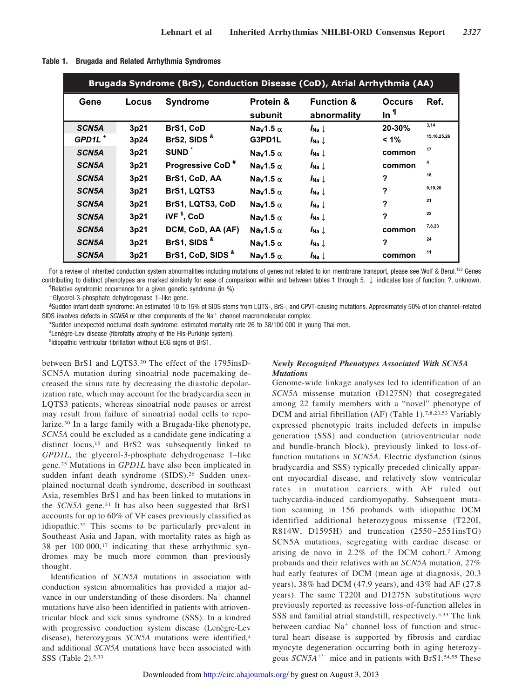| Brugada Syndrome (BrS), Conduction Disease (CoD), Atrial Arrhythmia (AA) |       |                                  |                              |                                      |                                  |                |  |
|--------------------------------------------------------------------------|-------|----------------------------------|------------------------------|--------------------------------------|----------------------------------|----------------|--|
| Gene                                                                     | Locus | <b>Syndrome</b>                  | Protein &<br>subunit         | <b>Function &amp;</b><br>abnormality | <b>Occurs</b><br>In <sup>T</sup> | Ref.           |  |
| SCN5A                                                                    | 3p21  | BrS1, CoD                        | Na <sub>v</sub> 1.5 $\alpha$ | $I_{\text{Na}}$                      | 20-30%                           | 3,14           |  |
| GPD1L <sup>+</sup>                                                       | 3p24  | BrS2, SIDS <sup>&amp;</sup>      | G3PD1L                       | $I_{\text{Na}}$                      | $< 1\%$                          | 15, 16, 25, 26 |  |
| SCN5A                                                                    | 3p21  | SUND <sup>*</sup>                | Na <sub>v</sub> 1.5 $\alpha$ | $I_{\text{Na}}$                      | common                           | 17             |  |
| SCN <sub>5</sub> A                                                       | 3p21  | Progressive CoD <sup>#</sup>     | Na <sub>v</sub> 1.5 $\alpha$ | $I_{\text{Na}}$                      | common                           | 4              |  |
| SCN5A                                                                    | 3p21  | BrS1, CoD, AA                    | Na <sub>v</sub> 1.5 $\alpha$ | $I_{\text{Na}}$                      | ?                                | 18<br>9,19,20  |  |
| SCN <sub>5</sub> A                                                       | 3p21  | <b>BrS1, LQTS3</b>               | Na <sub>v</sub> 1.5 $\alpha$ | $I_{\text{Na}}$                      | ?                                | 21             |  |
| SCN5A                                                                    | 3p21  | BrS1, LQTS3, CoD                 | Na <sub>v</sub> 1.5 $\alpha$ | $I_{\text{Na}}$                      | ?                                |                |  |
| SCN <sub>5</sub> A                                                       | 3p21  | $iVF§$ , $CoD$                   | Nav1.5 $\alpha$              | $I_{\text{Na}}$                      | ?                                | 22             |  |
| SCN5A                                                                    | 3p21  | DCM, CoD, AA (AF)                | Na <sub>v</sub> 1.5 $\alpha$ | $I_{\text{Na}}$                      | common                           | 7,8,23         |  |
| SCN5A                                                                    | 3p21  | BrS1, SIDS <sup>&amp;</sup>      | Na <sub>v</sub> 1.5 $\alpha$ | $I_{\text{Na}}$                      | ?                                | 24             |  |
| SCN5A                                                                    | 3p21  | BrS1, CoD, SIDS <sup>&amp;</sup> | Na <sub>v</sub> 1.5 $\alpha$ | $I_{\text{Na}}\downarrow$            | common                           | 11             |  |

#### **Table 1. Brugada and Related Arrhythmia Syndromes**

For a review of inherited conduction system abnormalities including mutations of genes not related to ion membrane transport, please see Wolf & Berul.<sup>183</sup> Genes contributing to distinct phenotypes are marked similarly for ease of comparison within and between tables 1 through 5.  $\downarrow$  indicates loss of function; ?, unknown. ¶Relative syndromic occurrence for a given genetic syndrome (in %).

Glycerol-3-phosphate dehydrogenase 1–like gene.

& Sudden infant death syndrome: An estimated 10 to 15% of SIDS stems from LQTS-, BrS-, and CPVT-causing mutations. Approximately 50% of ion channel–related SIDS involves defects in *SCN5A* or other components of the  $Na<sup>+</sup>$  channel macromolecular complex.

\*Sudden unexpected nocturnal death syndrome: estimated mortality rate 26 to 38/100 000 in young Thai men.

# Lenègre-Lev disease (fibrofatty atrophy of the His-Purkinje system).

\$ Idiopathic ventricular fibrillation without ECG signs of BrS1.

between BrS1 and LQTS3.<sup>20</sup> The effect of the 1795insD-SCN5A mutation during sinoatrial node pacemaking decreased the sinus rate by decreasing the diastolic depolarization rate, which may account for the bradycardia seen in LQTS3 patients, whereas sinoatrial node pauses or arrest may result from failure of sinoatrial nodal cells to repolarize.<sup>30</sup> In a large family with a Brugada-like phenotype, *SCN5A* could be excluded as a candidate gene indicating a distinct locus,<sup>15</sup> and BrS2 was subsequently linked to *GPD1L*, the glycerol-3-phosphate dehydrogenase 1–like gene.<sup>25</sup> Mutations in *GPD1L* have also been implicated in sudden infant death syndrome (SIDS).<sup>26</sup> Sudden unexplained nocturnal death syndrome, described in southeast Asia, resembles BrS1 and has been linked to mutations in the *SCN5A* gene.<sup>31</sup> It has also been suggested that BrS1 accounts for up to 60% of VF cases previously classified as idiopathic.<sup>32</sup> This seems to be particularly prevalent in Southeast Asia and Japan, with mortality rates as high as 38 per 100 000,<sup>17</sup> indicating that these arrhythmic syndromes may be much more common than previously thought.

Identification of *SCN5A* mutations in association with conduction system abnormalities has provided a major advance in our understanding of these disorders. Na<sup>+</sup> channel mutations have also been identified in patients with atrioventricular block and sick sinus syndrome (SSS). In a kindred with progressive conduction system disease (Lenègre-Lev disease), heterozygous *SCN5A* mutations were identified,<sup>4</sup> and additional *SCN5A* mutations have been associated with SSS (Table 2).5,33

## *Newly Recognized Phenotypes Associated With SCN5A Mutations*

Genome-wide linkage analyses led to identification of an *SCN5A* missense mutation (D1275N) that cosegregated among 22 family members with a "novel" phenotype of DCM and atrial fibrillation (AF) (Table 1).<sup>7,8,23,53</sup> Variably expressed phenotypic traits included defects in impulse generation (SSS) and conduction (atrioventricular node and bundle-branch block), previously linked to loss-offunction mutations in *SCN5A*. Electric dysfunction (sinus bradycardia and SSS) typically preceded clinically apparent myocardial disease, and relatively slow ventricular rates in mutation carriers with AF ruled out tachycardia-induced cardiomyopathy. Subsequent mutation scanning in 156 probands with idiopathic DCM identified additional heterozygous missense (T220I, R814W, D1595H) and truncation (2550–2551insTG) SCN5A mutations, segregating with cardiac disease or arising de novo in 2.2% of the DCM cohort.<sup>7</sup> Among probands and their relatives with an *SCN5A* mutation, 27% had early features of DCM (mean age at diagnosis, 20.3 years), 38% had DCM (47.9 years), and 43% had AF (27.8 years). The same T220I and D1275N substitutions were previously reported as recessive loss-of-function alleles in SSS and familial atrial standstill, respectively.<sup>5,33</sup> The link between cardiac Na<sup>+</sup> channel loss of function and structural heart disease is supported by fibrosis and cardiac myocyte degeneration occurring both in aging heterozygous *SCN5A<sup>+/-</sup>* mice and in patients with BrS1.<sup>54,55</sup> These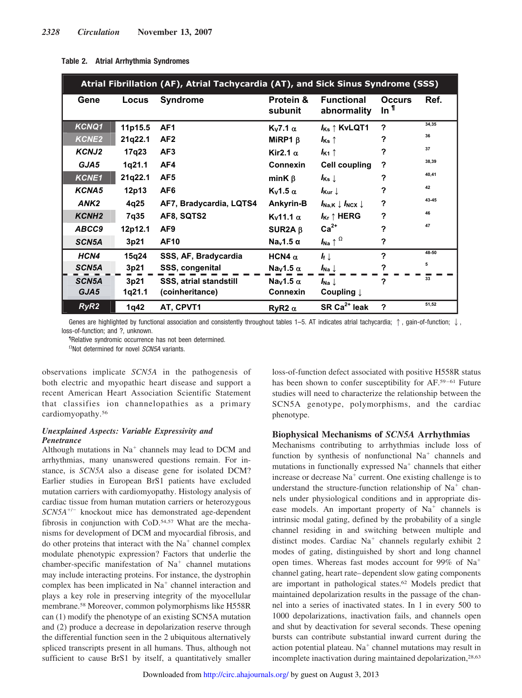| Atrial Fibrillation (AF), Atrial Tachycardia (AT), and Sick Sinus Syndrome (SSS) |         |                               |                              |                                                        |                                     |       |  |
|----------------------------------------------------------------------------------|---------|-------------------------------|------------------------------|--------------------------------------------------------|-------------------------------------|-------|--|
| Gene                                                                             | Locus   | <b>Syndrome</b>               | Protein &<br>subunit         | <b>Functional</b><br>abnormality                       | <b>Occurs</b><br>$\ln$ <sup>1</sup> | Ref.  |  |
| KCNQ1                                                                            | 11p15.5 | AF <sub>1</sub>               | $K_v 7.1 \alpha$             | $I_{\text{Ks}} \uparrow \text{KvLQT1}$                 | ?                                   | 34,35 |  |
| <b>KCNE2</b>                                                                     | 21q22.1 | AF <sub>2</sub>               | MiRP1 $\beta$                | $I_{\text{Ks}}$ $\uparrow$                             | ?                                   | 36    |  |
| <b>KCNJ2</b>                                                                     | 17q23   | AF <sub>3</sub>               | Kir2.1 $\alpha$              | $I_{\mathsf{K1}}$ $\uparrow$                           | ?                                   | 37    |  |
| GJA5                                                                             | 1q21.1  | AF4                           | <b>Connexin</b>              | <b>Cell coupling</b>                                   | ?                                   | 38,39 |  |
| <b>KCNE1</b>                                                                     | 21q22.1 | AF <sub>5</sub>               | minK $\beta$                 | $I_{\mathsf{Ks}}$                                      | ?                                   | 40,41 |  |
| KCNA5                                                                            | 12p13   | AF <sub>6</sub>               | $K_v1.5 \alpha$              | $I_{\text{Kur}}$                                       | ?                                   | 42    |  |
| ANK <sub>2</sub>                                                                 | 4q25    | AF7, Bradycardia, LQTS4       | Ankyrin-B                    | $I_{\text{Na,K}} \downarrow I_{\text{NCX}} \downarrow$ | ?                                   | 43-45 |  |
| <b>KCNH2</b>                                                                     | 7q35    | AF8, SQTS2                    | $K_v$ 11.1 $\alpha$          | $I_{Kr} \uparrow$ HERG                                 | ?                                   | 46    |  |
| ABCC9                                                                            | 12p12.1 | AF <sub>9</sub>               | SUR2A $\beta$                | $Ca2+$                                                 | ?                                   | 47    |  |
| SCN5A                                                                            | 3p21    | <b>AF10</b>                   | $Nav1.5 \alpha$              | $I_{\text{Na}} \uparrow \Omega$                        | ?                                   |       |  |
| HCN4                                                                             | 15q24   | SSS, AF, Bradycardia          | HCN4 $\alpha$                | $J_{\rm f}$                                            | ?                                   | 48-50 |  |
| SCN5A                                                                            | 3p21    | SSS, congenital               | Na <sub>v</sub> 1.5 $\alpha$ | $I_{\text{Na}}\downarrow$                              | ?                                   | 5     |  |
| SCN <sub>5</sub> A                                                               | 3p21    | <b>SSS, atrial standstill</b> | Na <sub>v</sub> 1.5 $\alpha$ | $I_{\text{Na}}$                                        | ?                                   | 33    |  |
| GJA5                                                                             | 1q21.1  | (coinheritance)               | <b>Connexin</b>              | Coupling ↓                                             |                                     |       |  |
| RyR <sub>2</sub>                                                                 | 1q42    | AT. CPVT1                     | $RvR2 \alpha$                | $SR Ca2+$ leak                                         | ?                                   | 51,52 |  |

#### **Table 2. Atrial Arrhythmia Syndromes**

Genes are highlighted by functional association and consistently throughout tables 1–5. AT indicates atrial tachycardia;  $\uparrow$ , gain-of-function;  $\downarrow$ , loss-of-function; and ?, unknown.

¶Relative syndromic occurrence has not been determined.

 $\Omega$ Not determined for novel SCN5A variants.

observations implicate *SCN5A* in the pathogenesis of both electric and myopathic heart disease and support a recent American Heart Association Scientific Statement that classifies ion channelopathies as a primary cardiomyopathy.<sup>56</sup>

#### *Unexplained Aspects: Variable Expressivity and Penetrance*

Although mutations in  $Na<sup>+</sup>$  channels may lead to DCM and arrhythmias, many unanswered questions remain. For instance, is *SCN5A* also a disease gene for isolated DCM? Earlier studies in European BrS1 patients have excluded mutation carriers with cardiomyopathy. Histology analysis of cardiac tissue from human mutation carriers or heterozygous  $SCN5A<sup>+/-</sup>$  knockout mice has demonstrated age-dependent fibrosis in conjunction with CoD.<sup>54,57</sup> What are the mechanisms for development of DCM and myocardial fibrosis, and do other proteins that interact with the  $Na<sup>+</sup>$  channel complex modulate phenotypic expression? Factors that underlie the chamber-specific manifestation of Na channel mutations may include interacting proteins. For instance, the dystrophin complex has been implicated in Na<sup>+</sup> channel interaction and plays a key role in preserving integrity of the myocellular membrane.<sup>58</sup> Moreover, common polymorphisms like H558R can (1) modify the phenotype of an existing SCN5A mutation and (2) produce a decrease in depolarization reserve through the differential function seen in the 2 ubiquitous alternatively spliced transcripts present in all humans. Thus, although not sufficient to cause BrS1 by itself, a quantitatively smaller loss-of-function defect associated with positive H558R status has been shown to confer susceptibility for AF.<sup>59-61</sup> Future studies will need to characterize the relationship between the SCN5A genotype, polymorphisms, and the cardiac phenotype.

#### **Biophysical Mechanisms of** *SCN5A* **Arrhythmias**

Mechanisms contributing to arrhythmias include loss of function by synthesis of nonfunctional  $Na<sup>+</sup>$  channels and mutations in functionally expressed  $Na<sup>+</sup>$  channels that either increase or decrease  $Na<sup>+</sup>$  current. One existing challenge is to understand the structure-function relationship of  $Na<sup>+</sup>$  channels under physiological conditions and in appropriate disease models. An important property of Na<sup>+</sup> channels is intrinsic modal gating, defined by the probability of a single channel residing in and switching between multiple and distinct modes. Cardiac Na<sup>+</sup> channels regularly exhibit 2 modes of gating, distinguished by short and long channel open times. Whereas fast modes account for 99% of Na channel gating, heart rate–dependent slow gating components are important in pathological states.<sup>62</sup> Models predict that maintained depolarization results in the passage of the channel into a series of inactivated states. In 1 in every 500 to 1000 depolarizations, inactivation fails, and channels open and shut by deactivation for several seconds. These opening bursts can contribute substantial inward current during the action potential plateau.  $Na<sup>+</sup>$  channel mutations may result in incomplete inactivation during maintained depolarization,<sup>28,63</sup>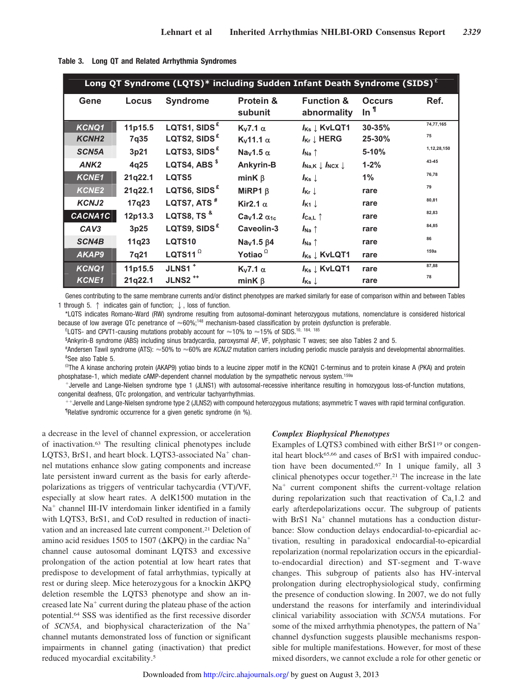| Long QT Syndrome (LQTS)* including Sudden Infant Death Syndrome (SIDS) $^{\rm f}$ |         |                            |                                      |                                                        |                                  |             |
|-----------------------------------------------------------------------------------|---------|----------------------------|--------------------------------------|--------------------------------------------------------|----------------------------------|-------------|
| Gene                                                                              | Locus   | <b>Syndrome</b>            | Protein &<br>subunit                 | <b>Function &amp;</b><br>abnormality                   | <b>Occurs</b><br>In $\mathbb{I}$ | Ref.        |
| KCNQ1                                                                             | 11p15.5 | LQTS1, SIDS $^{\epsilon}$  | $Kv7.1 \alpha$                       | $I_{\text{Ks}}$ $\downarrow$ KvLQT1                    | 30-35%                           | 74,77,165   |
| <b>KCNH2</b>                                                                      | 7q35    | LQTS2, SIDS $^{\epsilon}$  | $K_V$ 11.1 $\alpha$                  | $I_{Kr}$ $\downarrow$ HERG                             | 25-30%                           | 75          |
| SCN5A                                                                             | 3p21    | LQTS3, SIDS $£$            | Nav1.5 $\alpha$                      | $I_{\text{Na}}$ $\uparrow$                             | $5 - 10%$                        | 1,12,28,150 |
| ANK <sub>2</sub>                                                                  | 4q25    | LQTS4, ABS <sup>\$</sup>   | Ankyrin-B                            | $I_{\text{Na,K}} \downarrow I_{\text{NCX}} \downarrow$ | $1 - 2%$                         | 43-45       |
| <b>KCNE1</b>                                                                      | 21q22.1 | <b>LQTS5</b>               | minK $\beta$                         | $I_{\mathsf{Ks}}\downarrow$                            | 1%                               | 76,78       |
| KCNE2                                                                             | 21q22.1 | LQTS6, SIDS <sup>£</sup>   | MiRP1 $\beta$                        | $I_{\text{Kr}}$                                        | rare                             | 79          |
| <b>KCNJ2</b>                                                                      | 17q23   | LQTS7, ATS $*$             | Kir2.1 $\alpha$                      | $I_{K1}$                                               | rare                             | 80,81       |
| CACNA1C                                                                           | 12p13.3 | LQTS8, TS <sup>&amp;</sup> | Cay 1.2 $\alpha_{1c}$                | $I_{Ca,L}$ $\uparrow$                                  | rare                             | 82.83       |
| CAV <sub>3</sub>                                                                  | 3p25    | LQTS9, SIDS <sup>£</sup>   | Caveolin-3                           | $I_{\text{Na}}$ 1                                      | rare                             | 84,85       |
| <b>SCN4B</b>                                                                      | 11q23   | LQTS10                     | $\text{Na}_{\text{V}}$ 1.5 $\beta$ 4 | $I_{\text{Na}}$ 1                                      | rare                             | 86          |
| AKAP9                                                                             | 7q21    | LQTS11 $^{\Omega}$         | Yotiao $^{\Omega}$                   | $I_{\text{Ks}} \downarrow$ KvLQT1                      | rare                             | 159a        |
| KCNQ1                                                                             | 11p15.5 | JLNS1 <sup>+</sup>         | $K_v$ 7.1 $\alpha$                   | $I_{\text{Ks}} \downarrow$ KvLQT1                      | rare                             | 87,88       |
| <b>KCNE1</b>                                                                      | 21q22.1 | <b>JLNS2</b> **            | min $K \beta$                        | $I_{\mathsf{Ks}}\downarrow$                            | rare                             | 78          |

**Table 3. Long QT and Related Arrhythmia Syndromes**

Genes contributing to the same membrane currents and/or distinct phenotypes are marked similarly for ease of comparison within and between Tables 1 through 5.  $\uparrow$  indicates gain of function;  $\downarrow$ , loss of function.

\*LQTS indicates Romano-Ward (RW) syndrome resulting from autosomal-dominant heterozygous mutations, nomenclature is considered historical because of low average QTc penetrance of  $\approx$  60%;<sup>148</sup> mechanism-based classification by protein dysfunction is preferable.

 $E$ LQTS- and CPVT1-causing mutations probably account for  $\approx$ 10% to  $\approx$ 15% of SIDS.<sup>10, 184, 185</sup>

\$ Ankyrin-B syndrome (ABS) including sinus bradycardia, paroxysmal AF, VF, polyphasic T waves; see also Tables 2 and 5.

#Andersen Tawil syndrome (ATS): ≈50% to ≈60% are KCNJ2 mutation carriers including periodic muscle paralysis and developmental abnormalities. & See also Table 5.

 ${}^{\Omega}$ The A kinase anchoring protein (AKAP9) yotiao binds to a leucine zipper motif in the KCNQ1 C-terminus and to protein kinase A (PKA) and protein phosphatase-1, which mediate cAMP-dependent channel modulation by the sympathetic nervous system.159a

Jervelle and Lange-Nielsen syndrome type 1 (JLNS1) with autosomal-recessive inheritance resulting in homozygous loss-of-function mutations, congenital deafness, QTc prolongation, and ventricular tachyarrhythmias.

Jervelle and Lange-Nielsen syndrome type 2 (JLNS2) with compound heterozygous mutations; asymmetric T waves with rapid terminal configuration. ¶Relative syndromic occurrence for a given genetic syndrome (in %).

a decrease in the level of channel expression, or acceleration of inactivation.<sup>63</sup> The resulting clinical phenotypes include LQTS3, BrS1, and heart block. LQTS3-associated Na<sup>+</sup> channel mutations enhance slow gating components and increase late persistent inward current as the basis for early afterdepolarizations as triggers of ventricular tachycardia (VT)/VF, especially at slow heart rates. A delK1500 mutation in the Na<sup>+</sup> channel III-IV interdomain linker identified in a family with LQTS3, BrS1, and CoD resulted in reduction of inactivation and an increased late current component.<sup>21</sup> Deletion of amino acid residues 1505 to 1507 ( $\Delta$ KPQ) in the cardiac Na<sup>+</sup> channel cause autosomal dominant LQTS3 and excessive prolongation of the action potential at low heart rates that predispose to development of fatal arrhythmias, typically at rest or during sleep. Mice heterozygous for a knockin  $\Delta$ KPQ deletion resemble the LQTS3 phenotype and show an increased late  $Na<sup>+</sup>$  current during the plateau phase of the action potential.<sup>64</sup> SSS was identified as the first recessive disorder of *SCN5A*, and biophysical characterization of the Na channel mutants demonstrated loss of function or significant impairments in channel gating (inactivation) that predict reduced myocardial excitability.<sup>5</sup>

#### *Complex Biophysical Phenotypes*

Examples of LQTS3 combined with either BrS1<sup>19</sup> or congenital heart block<sup>65,66</sup> and cases of BrS1 with impaired conduction have been documented.<sup>67</sup> In 1 unique family, all 3 clinical phenotypes occur together.<sup>21</sup> The increase in the late Na<sup>+</sup> current component shifts the current-voltage relation during repolarization such that reactivation of  $Ca<sub>v</sub>1.2$  and early afterdepolarizations occur. The subgroup of patients with BrS1 Na<sup>+</sup> channel mutations has a conduction disturbance: Slow conduction delays endocardial-to-epicardial activation, resulting in paradoxical endocardial-to-epicardial repolarization (normal repolarization occurs in the epicardialto-endocardial direction) and ST-segment and T-wave changes. This subgroup of patients also has HV-interval prolongation during electrophysiological study, confirming the presence of conduction slowing. In 2007, we do not fully understand the reasons for interfamily and interindividual clinical variability association with *SCN5A* mutations. For some of the mixed arrhythmia phenotypes, the pattern of Na channel dysfunction suggests plausible mechanisms responsible for multiple manifestations. However, for most of these mixed disorders, we cannot exclude a role for other genetic or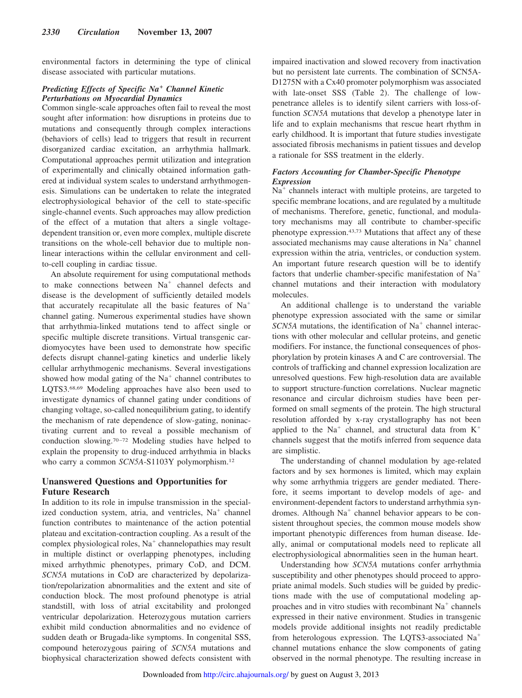environmental factors in determining the type of clinical disease associated with particular mutations.

## *Predicting Effects of Specific Na<sup>+</sup> Channel Kinetic Perturbations on Myocardial Dynamics*

Common single-scale approaches often fail to reveal the most sought after information: how disruptions in proteins due to mutations and consequently through complex interactions (behaviors of cells) lead to triggers that result in recurrent disorganized cardiac excitation, an arrhythmia hallmark. Computational approaches permit utilization and integration of experimentally and clinically obtained information gathered at individual system scales to understand arrhythmogenesis. Simulations can be undertaken to relate the integrated electrophysiological behavior of the cell to state-specific single-channel events. Such approaches may allow prediction of the effect of a mutation that alters a single voltagedependent transition or, even more complex, multiple discrete transitions on the whole-cell behavior due to multiple nonlinear interactions within the cellular environment and cellto-cell coupling in cardiac tissue.

An absolute requirement for using computational methods to make connections between  $Na<sup>+</sup>$  channel defects and disease is the development of sufficiently detailed models that accurately recapitulate all the basic features of Na channel gating. Numerous experimental studies have shown that arrhythmia-linked mutations tend to affect single or specific multiple discrete transitions. Virtual transgenic cardiomyocytes have been used to demonstrate how specific defects disrupt channel-gating kinetics and underlie likely cellular arrhythmogenic mechanisms. Several investigations showed how modal gating of the  $Na<sup>+</sup>$  channel contributes to LQTS3.68,69 Modeling approaches have also been used to investigate dynamics of channel gating under conditions of changing voltage, so-called nonequilibrium gating, to identify the mechanism of rate dependence of slow-gating, noninactivating current and to reveal a possible mechanism of conduction slowing.70–72 Modeling studies have helped to explain the propensity to drug-induced arrhythmia in blacks who carry a common *SCN5A*-S1103Y polymorphism.<sup>12</sup>

## **Unanswered Questions and Opportunities for Future Research**

In addition to its role in impulse transmission in the specialized conduction system, atria, and ventricles, Na<sup>+</sup> channel function contributes to maintenance of the action potential plateau and excitation-contraction coupling. As a result of the complex physiological roles, Na<sup>+</sup> channelopathies may result in multiple distinct or overlapping phenotypes, including mixed arrhythmic phenotypes, primary CoD, and DCM. *SCN5A* mutations in CoD are characterized by depolarization/repolarization abnormalities and the extent and site of conduction block. The most profound phenotype is atrial standstill, with loss of atrial excitability and prolonged ventricular depolarization. Heterozygous mutation carriers exhibit mild conduction abnormalities and no evidence of sudden death or Brugada-like symptoms. In congenital SSS, compound heterozygous pairing of *SCN5A* mutations and biophysical characterization showed defects consistent with impaired inactivation and slowed recovery from inactivation but no persistent late currents. The combination of SCN5A-D1275N with a Cx40 promoter polymorphism was associated with late-onset SSS (Table 2). The challenge of lowpenetrance alleles is to identify silent carriers with loss-offunction *SCN5A* mutations that develop a phenotype later in life and to explain mechanisms that rescue heart rhythm in early childhood. It is important that future studies investigate associated fibrosis mechanisms in patient tissues and develop a rationale for SSS treatment in the elderly.

## *Factors Accounting for Chamber-Specific Phenotype Expression*

Na<sup>+</sup> channels interact with multiple proteins, are targeted to specific membrane locations, and are regulated by a multitude of mechanisms. Therefore, genetic, functional, and modulatory mechanisms may all contribute to chamber-specific phenotype expression.43,73 Mutations that affect any of these associated mechanisms may cause alterations in  $Na<sup>+</sup>$  channel expression within the atria, ventricles, or conduction system. An important future research question will be to identify factors that underlie chamber-specific manifestation of Na channel mutations and their interaction with modulatory molecules.

An additional challenge is to understand the variable phenotype expression associated with the same or similar SCN5A mutations, the identification of Na<sup>+</sup> channel interactions with other molecular and cellular proteins, and genetic modifiers. For instance, the functional consequences of phosphorylation by protein kinases A and C are controversial. The controls of trafficking and channel expression localization are unresolved questions. Few high-resolution data are available to support structure-function correlations. Nuclear magnetic resonance and circular dichroism studies have been performed on small segments of the protein. The high structural resolution afforded by x-ray crystallography has not been applied to the Na<sup>+</sup> channel, and structural data from  $K^+$ channels suggest that the motifs inferred from sequence data are simplistic.

The understanding of channel modulation by age-related factors and by sex hormones is limited, which may explain why some arrhythmia triggers are gender mediated. Therefore, it seems important to develop models of age- and environment-dependent factors to understand arrhythmia syndromes. Although  $Na<sup>+</sup>$  channel behavior appears to be consistent throughout species, the common mouse models show important phenotypic differences from human disease. Ideally, animal or computational models need to replicate all electrophysiological abnormalities seen in the human heart.

Understanding how *SCN5A* mutations confer arrhythmia susceptibility and other phenotypes should proceed to appropriate animal models. Such studies will be guided by predictions made with the use of computational modeling approaches and in vitro studies with recombinant Na<sup>+</sup> channels expressed in their native environment. Studies in transgenic models provide additional insights not readily predictable from heterologous expression. The LQTS3-associated Na channel mutations enhance the slow components of gating observed in the normal phenotype. The resulting increase in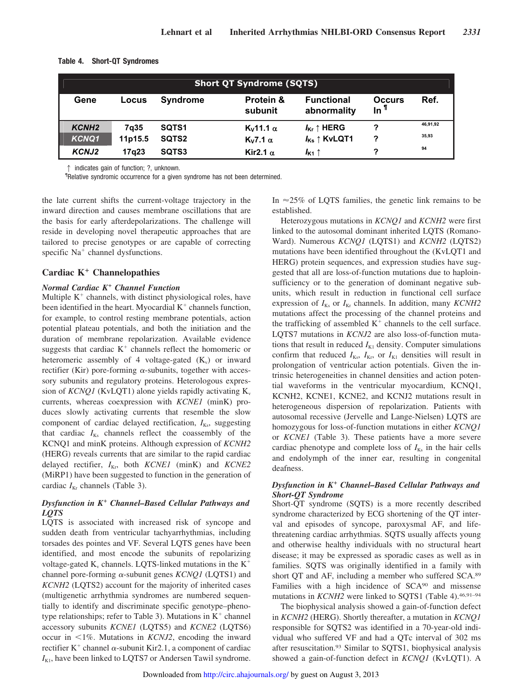| <b>Short QT Syndrome (SQTS)</b> |         |                 |                      |                                  |                                  |          |
|---------------------------------|---------|-----------------|----------------------|----------------------------------|----------------------------------|----------|
| Gene                            | Locus   | <b>Syndrome</b> | Protein &<br>subunit | <b>Functional</b><br>abnormality | <b>Occurs</b><br>In <sup>¶</sup> | Ref.     |
| <b>KCNH2</b>                    | 7a35    | SQTS1           | $Kv11.1\alpha$       | $I_{Kr} \uparrow$ HERG           | ?                                | 46,91,92 |
| <b>KCNQ1</b>                    | 11p15.5 | SQTS2           | $K_v$ 7.1 $\alpha$   | $I_{\text{Ks}} \uparrow$ KvLQT1  | ?                                | 35,93    |
| <b>KCNJ2</b>                    | 17a23   | SQTS3           | Kir2.1 $\alpha$      | $I_{K1}$ 1                       | ?                                | 94       |

|  | Table 4. |  |  | <b>Short-QT Syndromes</b> |
|--|----------|--|--|---------------------------|
|--|----------|--|--|---------------------------|

1 indicates gain of function; ?, unknown.

¶Relative syndromic occurrence for a given syndrome has not been determined.

the late current shifts the current-voltage trajectory in the inward direction and causes membrane oscillations that are the basis for early afterdepolarizations. The challenge will reside in developing novel therapeutic approaches that are tailored to precise genotypes or are capable of correcting specific  $Na<sup>+</sup>$  channel dysfunctions.

# Cardiac K<sup>+</sup> Channelopathies

# *Normal Cardiac K Channel Function*

Multiple  $K^+$  channels, with distinct physiological roles, have been identified in the heart. Myocardial  $K^+$  channels function, for example, to control resting membrane potentials, action potential plateau potentials, and both the initiation and the duration of membrane repolarization. Available evidence suggests that cardiac  $K^+$  channels reflect the homomeric or heteromeric assembly of 4 voltage-gated  $(K_v)$  or inward rectifier (Kir) pore-forming  $\alpha$ -subunits, together with accessory subunits and regulatory proteins. Heterologous expression of *KCNQ1* (KvLQT1) alone yields rapidly activating  $K_v$ currents, whereas coexpression with *KCNE1* (minK) produces slowly activating currents that resemble the slow component of cardiac delayed rectification,  $I_{Ks}$ , suggesting that cardiac  $I_{Ks}$  channels reflect the coassembly of the KCNQ1 and minK proteins. Although expression of *KCNH2* (HERG) reveals currents that are similar to the rapid cardiac delayed rectifier,  $I_{\text{Kr}}$ , both *KCNE1* (minK) and *KCNE2* (MiRP1) have been suggested to function in the generation of cardiac  $I_{\text{Kr}}$  channels (Table 3).

#### *Dysfunction in K<sup>+</sup> Channel–Based Cellular Pathways and LQTS*

LQTS is associated with increased risk of syncope and sudden death from ventricular tachyarrhythmias, including torsades des pointes and VF. Several LQTS genes have been identified, and most encode the subunits of repolarizing voltage-gated  $K_v$  channels. LQTS-linked mutations in the  $K^+$ channel pore-forming  $\alpha$ -subunit genes *KCNQ1* (LQTS1) and *KCNH2* (LQTS2) account for the majority of inherited cases (multigenetic arrhythmia syndromes are numbered sequentially to identify and discriminate specific genotype–phenotype relationships; refer to Table 3). Mutations in  $K^+$  channel accessory subunits *KCNE1* (LQTS5) and *KCNE2* (LQTS6) occur in  $\leq 1\%$ . Mutations in *KCNJ2*, encoding the inward rectifier  $K^+$  channel  $\alpha$ -subunit Kir2.1, a component of cardiac  $I_{K1}$ , have been linked to LQTS7 or Andersen Tawil syndrome.

In  $\approx$ 25% of LQTS families, the genetic link remains to be established.

Heterozygous mutations in *KCNQ1* and *KCNH2* were first linked to the autosomal dominant inherited LQTS (Romano-Ward). Numerous *KCNQ1* (LQTS1) and *KCNH2* (LQTS2) mutations have been identified throughout the (KvLQT1 and HERG) protein sequences, and expression studies have suggested that all are loss-of-function mutations due to haploinsufficiency or to the generation of dominant negative subunits, which result in reduction in functional cell surface expression of  $I_{Ks}$  or  $I_{Kr}$  channels. In addition, many *KCNH2* mutations affect the processing of the channel proteins and the trafficking of assembled  $K^+$  channels to the cell surface. LQTS7 mutations in *KCNJ2* are also loss-of-function mutations that result in reduced  $I_{K1}$  density. Computer simulations confirm that reduced  $I_{Ks}$ ,  $I_{Kr}$ , or  $I_{K1}$  densities will result in prolongation of ventricular action potentials. Given the intrinsic heterogeneities in channel densities and action potential waveforms in the ventricular myocardium, KCNQ1, KCNH2, KCNE1, KCNE2, and KCNJ2 mutations result in heterogeneous dispersion of repolarization. Patients with autosomal recessive (Jervelle and Lange-Nielsen) LQTS are homozygous for loss-of-function mutations in either *KCNQ1* or *KCNE1* (Table 3). These patients have a more severe cardiac phenotype and complete loss of  $I_{Ks}$  in the hair cells and endolymph of the inner ear, resulting in congenital deafness.

## *Dysfunction in K Channel–Based Cellular Pathways and Short-QT Syndrome*

Short-QT syndrome (SQTS) is a more recently described syndrome characterized by ECG shortening of the QT interval and episodes of syncope, paroxysmal AF, and lifethreatening cardiac arrhythmias. SQTS usually affects young and otherwise healthy individuals with no structural heart disease; it may be expressed as sporadic cases as well as in families. SQTS was originally identified in a family with short QT and AF, including a member who suffered SCA.<sup>89</sup> Families with a high incidence of SCA<sup>90</sup> and missense mutations in *KCNH2* were linked to SQTS1 (Table 4).<sup>46,91–94</sup>

The biophysical analysis showed a gain-of-function defect in *KCNH2* (HERG). Shortly thereafter, a mutation in *KCNQ1* responsible for SQTS2 was identified in a 70-year-old individual who suffered VF and had a QTc interval of 302 ms after resuscitation.<sup>93</sup> Similar to SQTS1, biophysical analysis showed a gain-of-function defect in *KCNQ1* (KvLQT1). A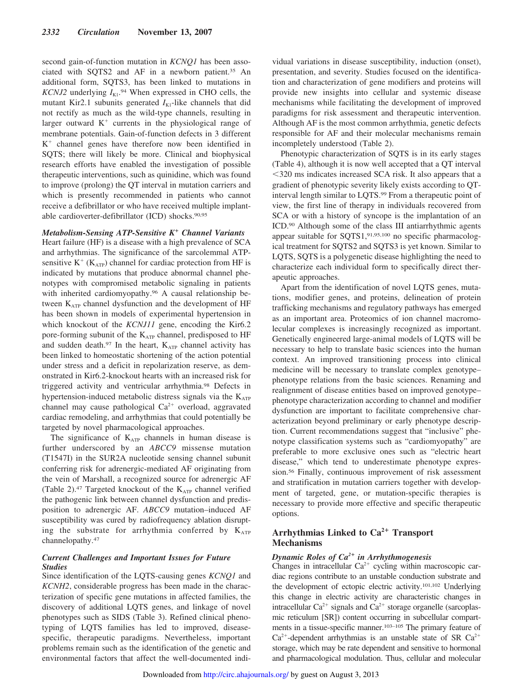second gain-of-function mutation in *KCNQ1* has been associated with SQTS2 and AF in a newborn patient.<sup>35</sup> An additional form, SQTS3, has been linked to mutations in *KCNJ2* underlying  $I_{\text{KL}}$ .<sup>94</sup> When expressed in CHO cells, the mutant Kir2.1 subunits generated  $I_{K1}$ -like channels that did not rectify as much as the wild-type channels, resulting in larger outward  $K^+$  currents in the physiological range of membrane potentials. Gain-of-function defects in 3 different K channel genes have therefore now been identified in SQTS; there will likely be more. Clinical and biophysical research efforts have enabled the investigation of possible therapeutic interventions, such as quinidine, which was found to improve (prolong) the QT interval in mutation carriers and which is presently recommended in patients who cannot receive a defibrillator or who have received multiple implantable cardioverter-defibrillator (ICD) shocks.<sup>90,95</sup>

*Metabolism-Sensing ATP-Sensitive K<sup>+</sup> Channel Variants* Heart failure (HF) is a disease with a high prevalence of SCA and arrhythmias. The significance of the sarcolemmal ATPsensitive  $K^+$  ( $K_{ATP}$ ) channel for cardiac protection from HF is indicated by mutations that produce abnormal channel phenotypes with compromised metabolic signaling in patients with inherited cardiomyopathy.<sup>96</sup> A causal relationship between KATP channel dysfunction and the development of HF has been shown in models of experimental hypertension in which knockout of the *KCNJ11* gene, encoding the Kir6.2 pore-forming subunit of the KATP channel, predisposed to HF and sudden death.<sup>97</sup> In the heart,  $K_{ATP}$  channel activity has been linked to homeostatic shortening of the action potential under stress and a deficit in repolarization reserve, as demonstrated in Kir6.2-knockout hearts with an increased risk for triggered activity and ventricular arrhythmia.<sup>98</sup> Defects in hypertension-induced metabolic distress signals via the  $K_{ATP}$ channel may cause pathological  $Ca^{2+}$  overload, aggravated cardiac remodeling, and arrhythmias that could potentially be targeted by novel pharmacological approaches.

The significance of  $K_{ATP}$  channels in human disease is further underscored by an *ABCC9* missense mutation (T1547I) in the SUR2A nucleotide sensing channel subunit conferring risk for adrenergic-mediated AF originating from the vein of Marshall, a recognized source for adrenergic AF (Table 2).<sup>47</sup> Targeted knockout of the  $K_{ATP}$  channel verified the pathogenic link between channel dysfunction and predisposition to adrenergic AF. *ABCC9* mutation–induced AF susceptibility was cured by radiofrequency ablation disrupting the substrate for arrhythmia conferred by  $K_{ATP}$ channelopathy.<sup>47</sup>

#### *Current Challenges and Important Issues for Future Studies*

Since identification of the LQTS-causing genes *KCNQ1* and *KCNH2*, considerable progress has been made in the characterization of specific gene mutations in affected families, the discovery of additional LQTS genes, and linkage of novel phenotypes such as SIDS (Table 3). Refined clinical phenotyping of LQTS families has led to improved, diseasespecific, therapeutic paradigms. Nevertheless, important problems remain such as the identification of the genetic and environmental factors that affect the well-documented indi-

vidual variations in disease susceptibility, induction (onset), presentation, and severity. Studies focused on the identification and characterization of gene modifiers and proteins will provide new insights into cellular and systemic disease mechanisms while facilitating the development of improved paradigms for risk assessment and therapeutic intervention. Although AF is the most common arrhythmia, genetic defects responsible for AF and their molecular mechanisms remain incompletely understood (Table 2).

Phenotypic characterization of SQTS is in its early stages (Table 4), although it is now well accepted that a QT interval 320 ms indicates increased SCA risk. It also appears that a gradient of phenotypic severity likely exists according to QTinterval length similar to LQTS.<sup>99</sup> From a therapeutic point of view, the first line of therapy in individuals recovered from SCA or with a history of syncope is the implantation of an ICD.<sup>90</sup> Although some of the class III antiarrhythmic agents appear suitable for SQTS1,91,95,100 no specific pharmacological treatment for SQTS2 and SQTS3 is yet known. Similar to LQTS, SQTS is a polygenetic disease highlighting the need to characterize each individual form to specifically direct therapeutic approaches.

Apart from the identification of novel LQTS genes, mutations, modifier genes, and proteins, delineation of protein trafficking mechanisms and regulatory pathways has emerged as an important area. Proteomics of ion channel macromolecular complexes is increasingly recognized as important. Genetically engineered large-animal models of LQTS will be necessary to help to translate basic sciences into the human context. An improved transitioning process into clinical medicine will be necessary to translate complex genotype– phenotype relations from the basic sciences. Renaming and realignment of disease entities based on improved genotype– phenotype characterization according to channel and modifier dysfunction are important to facilitate comprehensive characterization beyond preliminary or early phenotype description. Current recommendations suggest that "inclusive" phenotype classification systems such as "cardiomyopathy" are preferable to more exclusive ones such as "electric heart disease," which tend to underestimate phenotype expression.<sup>56</sup> Finally, continuous improvement of risk assessment and stratification in mutation carriers together with development of targeted, gene, or mutation-specific therapies is necessary to provide more effective and specific therapeutic options.

## **Arrhythmias Linked to Ca<sup>2</sup> Transport Mechanisms**

## *Dynamic Roles of Ca<sup>2</sup> in Arrhythmogenesis*

Changes in intracellular  $Ca^{2+}$  cycling within macroscopic cardiac regions contribute to an unstable conduction substrate and the development of ectopic electric activity.101,102 Underlying this change in electric activity are characteristic changes in intracellular  $Ca^{2+}$  signals and  $Ca^{2+}$  storage organelle (sarcoplasmic reticulum [SR]) content occurring in subcellular compartments in a tissue-specific manner.103–105 The primary feature of  $Ca^{2+}$ -dependent arrhythmias is an unstable state of SR  $Ca^{2+}$ storage, which may be rate dependent and sensitive to hormonal and pharmacological modulation. Thus, cellular and molecular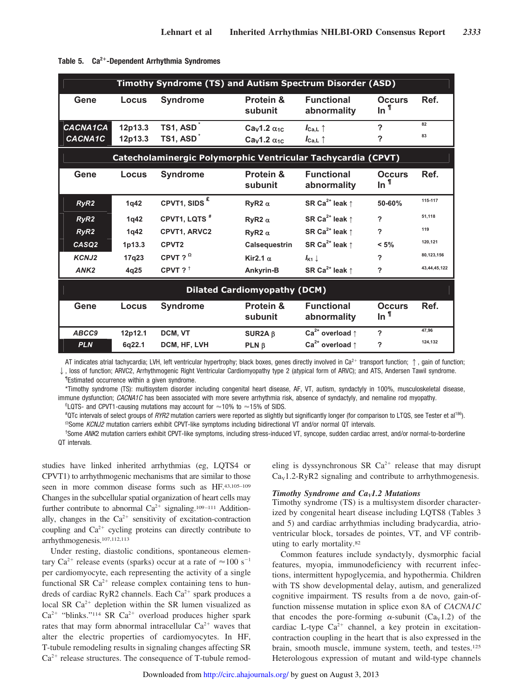|                                                              |         | Timothy Syndrome (TS) and Autism Spectrum Disorder (ASD) |                      |                                     |                          |              |  |
|--------------------------------------------------------------|---------|----------------------------------------------------------|----------------------|-------------------------------------|--------------------------|--------------|--|
| Gene                                                         | Locus   | <b>Syndrome</b>                                          | Protein &<br>subunit | <b>Functional</b><br>abnormality    | <b>Occurs</b><br>In $1$  | Ref.         |  |
| CACNA1CA                                                     | 12p13.3 | TS1, ASD <sup>*</sup>                                    | Cav1.2 $\alpha_{1c}$ | $I_{\text{Ca.L}}$                   | 2                        | 82           |  |
| CACNA1C                                                      | 12p13.3 | TS1, ASD <sup>*</sup>                                    | $Cav1.2 \alpha10$    | $I_{Ca,L} \uparrow$                 | ?                        | 83           |  |
| Catecholaminergic Polymorphic Ventricular Tachycardia (CPVT) |         |                                                          |                      |                                     |                          |              |  |
| Gene                                                         | Locus   | <b>Syndrome</b>                                          | Protein &<br>subunit | <b>Functional</b><br>abnormality    | <b>Occurs</b><br>In $\P$ | Ref.         |  |
| RyR2                                                         | 1q42    | CPVT1, SIDS $^{\epsilon}$                                | $RvR2 \alpha$        | SR Ca <sup>2+</sup> leak $\uparrow$ | 50-60%                   | 115-117      |  |
| RyR2                                                         | 1q42    | CPVT1, LQTS <sup>#</sup>                                 | $RvR2 \alpha$        | SR Ca <sup>2+</sup> leak $\uparrow$ | $\overline{\mathbf{r}}$  | 51,118       |  |
| RyR2                                                         | 1q42    | CPVT1, ARVC2                                             | $RvR2 \alpha$        | SR Ca <sup>2+</sup> leak $\uparrow$ | $\overline{\mathbf{z}}$  | 119          |  |
| CASQ2                                                        | 1p13.3  | CPVT <sub>2</sub>                                        | Calsequestrin        | SR Ca <sup>2+</sup> leak $\uparrow$ | $< 5\%$                  | 120,121      |  |
| <b>KCNJ2</b>                                                 | 17q23   | CPVT $?$ $^{\Omega}$                                     | Kir2.1 $\alpha$      | $I_{K1}$                            | 2                        | 80.123.156   |  |
| ANK <sub>2</sub>                                             | 4q25    | CPVT $2^{\dagger}$                                       | Ankyrin-B            | SR Ca <sup>2+</sup> leak $\uparrow$ | ?                        | 43,44,45,122 |  |
| <b>Dilated Cardiomyopathy (DCM)</b>                          |         |                                                          |                      |                                     |                          |              |  |
| Gene                                                         | Locus   | <b>Syndrome</b>                                          | Protein &<br>subunit | <b>Functional</b><br>abnormality    | <b>Occurs</b><br>In $1$  | Ref.         |  |
| ABCC9                                                        | 12p12.1 | DCM, VT                                                  | SUR2A <sub>B</sub>   | $Ca2+$ overload $\uparrow$          | $\mathbf{\hat{z}}$       | 47.96        |  |
| <b>PLN</b>                                                   | 6q22.1  | DCM, HF, LVH                                             | $PLN\beta$           | $Ca2+$ overload $\uparrow$          | ?                        | 124,132      |  |

## Table 5. Ca<sup>2+</sup>-Dependent Arrhythmia Syndromes

AT indicates atrial tachycardia; LVH, left ventricular hypertrophy; black boxes, genes directly involved in Ca<sup>2+</sup> transport function;  $\uparrow$ , gain of function;

2, loss of function; ARVC2, Arrhythmogenic Right Ventricular Cardiomyopathy type 2 (atypical form of ARVC); and ATS, Andersen Tawil syndrome. ¶ Estimated occurrence within a given syndrome.

\*Timothy syndrome (TS): multisystem disorder including congenital heart disease, AF, VT, autism, syndactyly in 100%, musculoskeletal disease, immune dysfunction; CACNA1C has been associated with more severe arrhythmia risk, absence of syndactyly, and nemaline rod myopathy.

 $E$ LQTS- and CPVT1-causing mutations may account for  $\approx$  10% to  $\approx$  15% of SIDS.

#QTc intervals of select groups of RYR2 mutation carriers were reported as slightly but significantly longer (for comparison to LTQS, see Tester et al<sup>186</sup>).  ${}^{\Omega}$ Some KCNJ2 mutation carriers exhibit CPVT-like symptoms including bidirectional VT and/or normal QT intervals.

† Some ANK2 mutation carriers exhibit CPVT-like symptoms, including stress-induced VT, syncope, sudden cardiac arrest, and/or normal-to-borderline QT intervals.

studies have linked inherited arrhythmias (eg, LQTS4 or CPVT1) to arrhythmogenic mechanisms that are similar to those seen in more common disease forms such as HF.43,105–109 Changes in the subcellular spatial organization of heart cells may further contribute to abnormal  $Ca^{2+}$  signaling.<sup>109–111</sup> Additionally, changes in the  $Ca^{2+}$  sensitivity of excitation-contraction coupling and  $Ca^{2+}$  cycling proteins can directly contribute to arrhythmogenesis.107,112,113

Under resting, diastolic conditions, spontaneous elementary Ca<sup>2+</sup> release events (sparks) occur at a rate of  $\approx$ 100 s<sup>-1</sup> per cardiomyocyte, each representing the activity of a single functional SR  $Ca^{2+}$  release complex containing tens to hundreds of cardiac RyR2 channels. Each  $Ca^{2+}$  spark produces a local SR  $Ca^{2+}$  depletion within the SR lumen visualized as  $Ca^{2+}$  "blinks."<sup>114</sup> SR  $Ca^{2+}$  overload produces higher spark rates that may form abnormal intracellular  $Ca^{2+}$  waves that alter the electric properties of cardiomyocytes. In HF, T-tubule remodeling results in signaling changes affecting SR  $Ca^{2+}$  release structures. The consequence of T-tubule remod-

eling is dyssynchronous SR  $Ca^{2+}$  release that may disrupt  $Ca<sub>v</sub>1.2-R<sub>V</sub>R2$  signaling and contribute to arrhythmogenesis.

## *Timothy Syndrome and Ca<sub>V</sub><sup>1</sup>.2 Mutations*

Timothy syndrome (TS) is a multisystem disorder characterized by congenital heart disease including LQTS8 (Tables 3 and 5) and cardiac arrhythmias including bradycardia, atrioventricular block, torsades de pointes, VT, and VF contributing to early mortality.<sup>82</sup>

Common features include syndactyly, dysmorphic facial features, myopia, immunodeficiency with recurrent infections, intermittent hypoglycemia, and hypothermia. Children with TS show developmental delay, autism, and generalized cognitive impairment. TS results from a de novo, gain-offunction missense mutation in splice exon 8A of *CACNA1C* that encodes the pore-forming  $\alpha$ -subunit (Ca<sub>v</sub>1.2) of the cardiac L-type  $Ca^{2+}$  channel, a key protein in excitationcontraction coupling in the heart that is also expressed in the brain, smooth muscle, immune system, teeth, and testes.<sup>125</sup> Heterologous expression of mutant and wild-type channels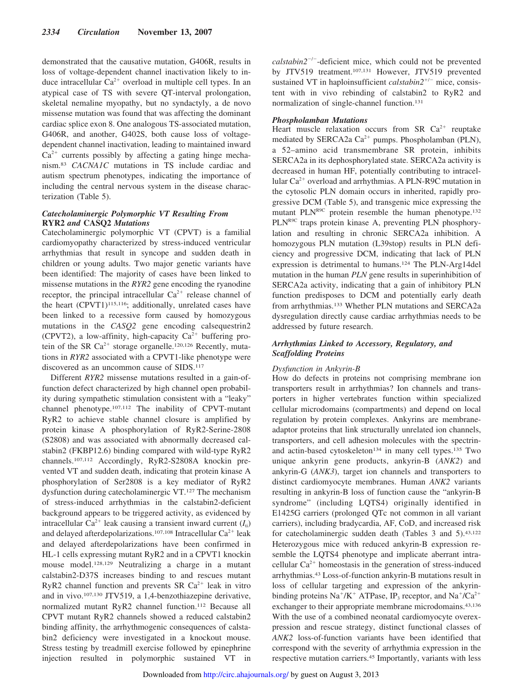demonstrated that the causative mutation, G406R, results in loss of voltage-dependent channel inactivation likely to induce intracellular  $Ca^{2+}$  overload in multiple cell types. In an atypical case of TS with severe QT-interval prolongation, skeletal nemaline myopathy, but no syndactyly, a de novo missense mutation was found that was affecting the dominant cardiac splice exon 8. One analogous TS-associated mutation, G406R, and another, G402S, both cause loss of voltagedependent channel inactivation, leading to maintained inward  $Ca^{2+}$  currents possibly by affecting a gating hinge mechanism.<sup>83</sup> *CACNA1C* mutations in TS include cardiac and autism spectrum phenotypes, indicating the importance of including the central nervous system in the disease characterization (Table 5).

#### *Catecholaminergic Polymorphic VT Resulting From* **RYR2** *and* **CASQ2** *Mutations*

Catecholaminergic polymorphic VT (CPVT) is a familial cardiomyopathy characterized by stress-induced ventricular arrhythmias that result in syncope and sudden death in children or young adults. Two major genetic variants have been identified: The majority of cases have been linked to missense mutations in the *RYR2* gene encoding the ryanodine receptor, the principal intracellular  $Ca^{2+}$  release channel of the heart (CPVT1)115,116; additionally, unrelated cases have been linked to a recessive form caused by homozygous mutations in the *CASQ2* gene encoding calsequestrin2 (CPVT2), a low-affinity, high-capacity  $Ca^{2+}$  buffering protein of the SR  $Ca^{2+}$  storage organelle.<sup>120,126</sup> Recently, mutations in *RYR2* associated with a CPVT1-like phenotype were discovered as an uncommon cause of SIDS.<sup>117</sup>

Different *RYR2* missense mutations resulted in a gain-offunction defect characterized by high channel open probability during sympathetic stimulation consistent with a "leaky" channel phenotype.107,112 The inability of CPVT-mutant RyR2 to achieve stable channel closure is amplified by protein kinase A phosphorylation of RyR2-Serine-2808 (S2808) and was associated with abnormally decreased calstabin2 (FKBP12.6) binding compared with wild-type RyR2 channels.107,112 Accordingly, RyR2-S2808A knockin prevented VT and sudden death, indicating that protein kinase A phosphorylation of Ser2808 is a key mediator of RyR2 dysfunction during catecholaminergic VT.<sup>127</sup> The mechanism of stress-induced arrhythmias in the calstabin2-deficient background appears to be triggered activity, as evidenced by intracellular  $\text{Ca}^{2+}$  leak causing a transient inward current  $(I_{\text{u}})$ and delayed afterdepolarizations.<sup>107,108</sup> Intracellular  $Ca^{2+}$  leak and delayed afterdepolarizations have been confirmed in HL-1 cells expressing mutant RyR2 and in a CPVT1 knockin mouse model.128,129 Neutralizing a charge in a mutant calstabin2-D37S increases binding to and rescues mutant RyR2 channel function and prevents SR  $Ca^{2+}$  leak in vitro and in vivo.107,130 JTV519, a 1,4-benzothiazepine derivative, normalized mutant RyR2 channel function.<sup>112</sup> Because all CPVT mutant RyR2 channels showed a reduced calstabin2 binding affinity, the arrhythmogenic consequences of calstabin2 deficiency were investigated in a knockout mouse. Stress testing by treadmill exercise followed by epinephrine injection resulted in polymorphic sustained VT in

calstabin2<sup>-/-</sup>-deficient mice, which could not be prevented by JTV519 treatment.107,131 However, JTV519 prevented sustained VT in haploinsufficient *calstabin2<sup>+/-</sup>* mice, consistent with in vivo rebinding of calstabin2 to RyR2 and normalization of single-channel function.<sup>131</sup>

## *Phospholamban Mutations*

Heart muscle relaxation occurs from SR  $Ca^{2+}$  reuptake mediated by SERCA2a Ca<sup>2+</sup> pumps. Phospholamban (PLN), a 52–amino acid transmembrane SR protein, inhibits SERCA2a in its dephosphorylated state. SERCA2a activity is decreased in human HF, potentially contributing to intracellular Ca<sup>2+</sup> overload and arrhythmias. A PLN-R9C mutation in the cytosolic PLN domain occurs in inherited, rapidly progressive DCM (Table 5), and transgenic mice expressing the mutant  $PLN^{R9C}$  protein resemble the human phenotype.<sup>132</sup> PLN<sup>R9C</sup> traps protein kinase A, preventing PLN phosphorylation and resulting in chronic SERCA2a inhibition. A homozygous PLN mutation (L39stop) results in PLN deficiency and progressive DCM, indicating that lack of PLN expression is detrimental to humans.<sup>124</sup> The PLN-Arg14del mutation in the human *PLN* gene results in superinhibition of SERCA2a activity, indicating that a gain of inhibitory PLN function predisposes to DCM and potentially early death from arrhythmias.<sup>133</sup> Whether PLN mutations and SERCA2a dysregulation directly cause cardiac arrhythmias needs to be addressed by future research.

## *Arrhythmias Linked to Accessory, Regulatory, and Scaffolding Proteins*

## *Dysfunction in Ankyrin-B*

How do defects in proteins not comprising membrane ion transporters result in arrhythmias? Ion channels and transporters in higher vertebrates function within specialized cellular microdomains (compartments) and depend on local regulation by protein complexes. Ankyrins are membraneadaptor proteins that link structurally unrelated ion channels, transporters, and cell adhesion molecules with the spectrinand actin-based cytoskeleton<sup>134</sup> in many cell types.<sup>135</sup> Two unique ankyrin gene products, ankyrin-B (*ANK2*) and ankyrin-G (*ANK3*), target ion channels and transporters to distinct cardiomyocyte membranes. Human *ANK2* variants resulting in ankyrin-B loss of function cause the "ankyrin-B syndrome" (including LQTS4) originally identified in E1425G carriers (prolonged QTc not common in all variant carriers), including bradycardia, AF, CoD, and increased risk for catecholaminergic sudden death (Tables 3 and 5).43,122 Heterozygous mice with reduced ankyrin-B expression resemble the LQTS4 phenotype and implicate aberrant intracellular  $Ca^{2+}$  homeostasis in the generation of stress-induced arrhythmias.<sup>43</sup> Loss-of-function ankyrin-B mutations result in loss of cellular targeting and expression of the ankyrinbinding proteins  $\text{Na}^{\text{+}}/\text{K}^{\text{+}}$  ATPase, IP<sub>3</sub> receptor, and  $\text{Na}^{\text{+}}/\text{Ca}^{\text{2+}}$ exchanger to their appropriate membrane microdomains.<sup>43,136</sup> With the use of a combined neonatal cardiomyocyte overexpression and rescue strategy, distinct functional classes of *ANK2* loss-of-function variants have been identified that correspond with the severity of arrhythmia expression in the respective mutation carriers.<sup>45</sup> Importantly, variants with less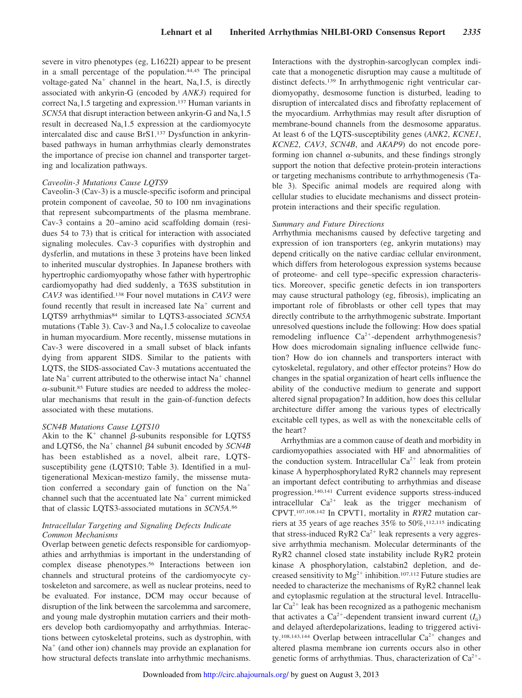severe in vitro phenotypes (eg, L1622I) appear to be present in a small percentage of the population.44,45 The principal voltage-gated  $Na<sup>+</sup>$  channel in the heart,  $Na<sub>v</sub>1.5$ , is directly associated with ankyrin-G (encoded by *ANK3*) required for correct  $Na<sub>v</sub>1.5$  targeting and expression.<sup>137</sup> Human variants in *SCN5A* that disrupt interaction between ankyrin-G and  $Na<sub>v</sub>1.5$ result in decreased  $Na<sub>v</sub>1.5$  expression at the cardiomyocyte intercalated disc and cause BrS1.<sup>137</sup> Dysfunction in ankyrinbased pathways in human arrhythmias clearly demonstrates the importance of precise ion channel and transporter targeting and localization pathways.

## *Caveolin-3 Mutations Cause LQTS9*

Caveolin-3 (Cav-3) is a muscle-specific isoform and principal protein component of caveolae, 50 to 100 nm invaginations that represent subcompartments of the plasma membrane. Cav-3 contains a 20–amino acid scaffolding domain (residues 54 to 73) that is critical for interaction with associated signaling molecules. Cav-3 copurifies with dystrophin and dysferlin, and mutations in these 3 proteins have been linked to inherited muscular dystrophies. In Japanese brothers with hypertrophic cardiomyopathy whose father with hypertrophic cardiomyopathy had died suddenly, a T63S substitution in *CAV3* was identified.<sup>138</sup> Four novel mutations in *CAV3* were found recently that result in increased late Na<sup>+</sup> current and LQTS9 arrhythmias<sup>84</sup> similar to LQTS3-associated *SCN5A* mutations (Table 3). Cav-3 and  $\text{Na}_{\text{V}}1.5$  colocalize to caveolae in human myocardium. More recently, missense mutations in Cav-3 were discovered in a small subset of black infants dying from apparent SIDS. Similar to the patients with LQTS, the SIDS-associated Cav-3 mutations accentuated the late  $Na<sup>+</sup>$  current attributed to the otherwise intact  $Na<sup>+</sup>$  channel  $\alpha$ -subunit.<sup>85</sup> Future studies are needed to address the molecular mechanisms that result in the gain-of-function defects associated with these mutations.

#### *SCN4B Mutations Cause LQTS10*

Akin to the  $K^+$  channel  $\beta$ -subunits responsible for LQTS5 and LQTS6, the Na<sup>+</sup> channel  $\beta$ 4 subunit encoded by *SCN4B* has been established as a novel, albeit rare, LQTSsusceptibility gene (LQTS10; Table 3). Identified in a multigenerational Mexican-mestizo family, the missense mutation conferred a secondary gain of function on the Na channel such that the accentuated late Na<sup>+</sup> current mimicked that of classic LQTS3-associated mutations in *SCN5A*. 86

#### *Intracellular Targeting and Signaling Defects Indicate Common Mechanisms*

Overlap between genetic defects responsible for cardiomyopathies and arrhythmias is important in the understanding of complex disease phenotypes.<sup>56</sup> Interactions between ion channels and structural proteins of the cardiomyocyte cytoskeleton and sarcomere, as well as nuclear proteins, need to be evaluated. For instance, DCM may occur because of disruption of the link between the sarcolemma and sarcomere, and young male dystrophin mutation carriers and their mothers develop both cardiomyopathy and arrhythmias. Interactions between cytoskeletal proteins, such as dystrophin, with Na<sup>+</sup> (and other ion) channels may provide an explanation for how structural defects translate into arrhythmic mechanisms.

Interactions with the dystrophin-sarcoglycan complex indicate that a monogenetic disruption may cause a multitude of distinct defects.<sup>139</sup> In arrhythmogenic right ventricular cardiomyopathy, desmosome function is disturbed, leading to disruption of intercalated discs and fibrofatty replacement of the myocardium. Arrhythmias may result after disruption of membrane-bound channels from the desmosome apparatus. At least 6 of the LQTS-susceptibility genes (*ANK2*, *KCNE1*, *KCNE2*, *CAV3*, *SCN4B*, and *AKAP9*) do not encode poreforming ion channel  $\alpha$ -subunits, and these findings strongly support the notion that defective protein-protein interactions or targeting mechanisms contribute to arrhythmogenesis (Table 3). Specific animal models are required along with cellular studies to elucidate mechanisms and dissect proteinprotein interactions and their specific regulation.

#### *Summary and Future Directions*

Arrhythmia mechanisms caused by defective targeting and expression of ion transporters (eg, ankyrin mutations) may depend critically on the native cardiac cellular environment, which differs from heterologous expression systems because of proteome- and cell type–specific expression characteristics. Moreover, specific genetic defects in ion transporters may cause structural pathology (eg, fibrosis), implicating an important role of fibroblasts or other cell types that may directly contribute to the arrhythmogenic substrate. Important unresolved questions include the following: How does spatial remodeling influence  $Ca^{2+}$ -dependent arrhythmogenesis? How does microdomain signaling influence cellwide function? How do ion channels and transporters interact with cytoskeletal, regulatory, and other effector proteins? How do changes in the spatial organization of heart cells influence the ability of the conductive medium to generate and support altered signal propagation? In addition, how does this cellular architecture differ among the various types of electrically excitable cell types, as well as with the nonexcitable cells of the heart?

Arrhythmias are a common cause of death and morbidity in cardiomyopathies associated with HF and abnormalities of the conduction system. Intracellular  $Ca^{2+}$  leak from protein kinase A hyperphosphorylated RyR2 channels may represent an important defect contributing to arrhythmias and disease progression.140,141 Current evidence supports stress-induced intracellular  $Ca^{2+}$  leak as the trigger mechanism of CPVT.107,108,142 In CPVT1, mortality in *RYR2* mutation carriers at 35 years of age reaches  $35\%$  to  $50\%,$ <sup>112,115</sup> indicating that stress-induced RyR2  $Ca^{2+}$  leak represents a very aggressive arrhythmia mechanism. Molecular determinants of the RyR2 channel closed state instability include RyR2 protein kinase A phosphorylation, calstabin2 depletion, and decreased sensitivity to  $Mg^{2+}$  inhibition.<sup>107,112</sup> Future studies are needed to characterize the mechanisms of RyR2 channel leak and cytoplasmic regulation at the structural level. Intracellular Ca<sup>2+</sup> leak has been recognized as a pathogenic mechanism that activates a  $Ca^{2+}$ -dependent transient inward current  $(I_{ii})$ and delayed afterdepolarizations, leading to triggered activity.<sup>108,143,144</sup> Overlap between intracellular  $Ca^{2+}$  changes and altered plasma membrane ion currents occurs also in other genetic forms of arrhythmias. Thus, characterization of  $Ca^{2+}$ -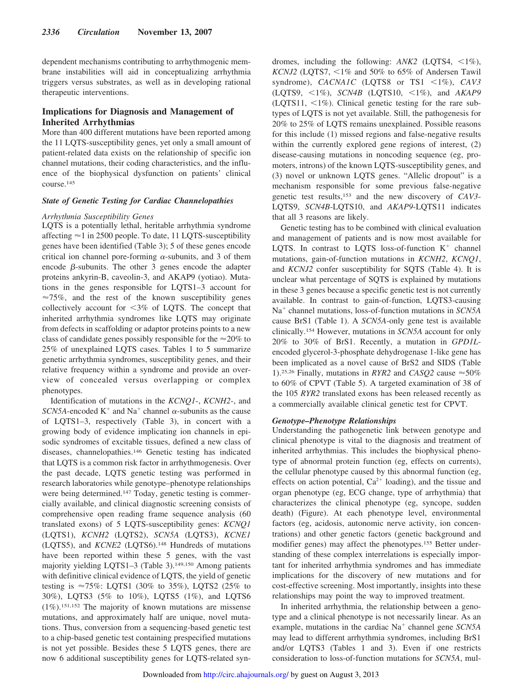dependent mechanisms contributing to arrhythmogenic membrane instabilities will aid in conceptualizing arrhythmia triggers versus substrates, as well as in developing rational therapeutic interventions.

## **Implications for Diagnosis and Management of Inherited Arrhythmias**

More than 400 different mutations have been reported among the 11 LQTS-susceptibility genes, yet only a small amount of patient-related data exists on the relationship of specific ion channel mutations, their coding characteristics, and the influence of the biophysical dysfunction on patients' clinical course.<sup>145</sup>

## *State of Genetic Testing for Cardiac Channelopathies*

## *Arrhythmia Susceptibility Genes*

LQTS is a potentially lethal, heritable arrhythmia syndrome affecting  $\approx$  1 in 2500 people. To date, 11 LQTS-susceptibility genes have been identified (Table 3); 5 of these genes encode critical ion channel pore-forming  $\alpha$ -subunits, and 3 of them encode  $\beta$ -subunits. The other 3 genes encode the adapter proteins ankyrin-B, caveolin-3, and AKAP9 (yotiao). Mutations in the genes responsible for LQTS1–3 account for  $\approx$ 75%, and the rest of the known susceptibility genes collectively account for  $\langle 3\% \rangle$  of LQTS. The concept that inherited arrhythmia syndromes like LQTS may originate from defects in scaffolding or adaptor proteins points to a new class of candidate genes possibly responsible for the  $\approx$ 20% to 25% of unexplained LQTS cases. Tables 1 to 5 summarize genetic arrhythmia syndromes, susceptibility genes, and their relative frequency within a syndrome and provide an overview of concealed versus overlapping or complex phenotypes.

Identification of mutations in the *KCNQ1*-, *KCNH2*-, and *SCN5A*-encoded  $K^+$  and  $Na^+$  channel  $\alpha$ -subunits as the cause of LQTS1–3, respectively (Table 3), in concert with a growing body of evidence implicating ion channels in episodic syndromes of excitable tissues, defined a new class of diseases, channelopathies.<sup>146</sup> Genetic testing has indicated that LQTS is a common risk factor in arrhythmogenesis. Over the past decade, LQTS genetic testing was performed in research laboratories while genotype–phenotype relationships were being determined.<sup>147</sup> Today, genetic testing is commercially available, and clinical diagnostic screening consists of comprehensive open reading frame sequence analysis (60 translated exons) of 5 LQTS-susceptibility genes: *KCNQ1* (LQTS1), *KCNH2* (LQTS2), *SCN5A* (LQTS3), *KCNE1* (LQTS5), and *KCNE2* (LQTS6).<sup>148</sup> Hundreds of mutations have been reported within these 5 genes, with the vast majority yielding LQTS1–3 (Table 3).149,150 Among patients with definitive clinical evidence of LQTS, the yield of genetic testing is  $\approx 75\%$ : LQTS1 (30% to 35%), LQTS2 (25% to 30%), LQTS3 (5% to 10%), LQTS5 (1%), and LQTS6  $(1\%)$ .<sup>151,152</sup> The majority of known mutations are missense mutations, and approximately half are unique, novel mutations. Thus, conversion from a sequencing-based genetic test to a chip-based genetic test containing prespecified mutations is not yet possible. Besides these 5 LQTS genes, there are now 6 additional susceptibility genes for LQTS-related syndromes, including the following:  $ANK2$  (LQTS4,  $\leq 1\%$ ), *KCNJ2* (LQTS7,  $\leq 1\%$  and 50% to 65% of Andersen Tawil syndrome), *CACNA1C* (LQTS8 or TS1 <1%), *CAV3* (LQTS9, 1%), *SCN4B* (LQTS10, 1%), and *AKAP9*  $(LQTS11, \leq 1\%)$ . Clinical genetic testing for the rare subtypes of LQTS is not yet available. Still, the pathogenesis for 20% to 25% of LQTS remains unexplained. Possible reasons for this include (1) missed regions and false-negative results within the currently explored gene regions of interest, (2) disease-causing mutations in noncoding sequence (eg, promoters, introns) of the known LQTS-susceptibility genes, and (3) novel or unknown LQTS genes. "Allelic dropout" is a mechanism responsible for some previous false-negative genetic test results,<sup>153</sup> and the new discovery of *CAV3*- LQTS9, *SCN4B*-LQTS10, and *AKAP9*-LQTS11 indicates that all 3 reasons are likely.

Genetic testing has to be combined with clinical evaluation and management of patients and is now most available for LQTS. In contrast to LQTS loss-of-function  $K^+$  channel mutations, gain-of-function mutations in *KCNH2*, *KCNQ1*, and *KCNJ2* confer susceptibility for SQTS (Table 4). It is unclear what percentage of SQTS is explained by mutations in these 3 genes because a specific genetic test is not currently available. In contrast to gain-of-function, LQTS3-causing Na<sup>+</sup> channel mutations, loss-of-function mutations in *SCN5A* cause BrS1 (Table 1). A *SCN5A*-only gene test is available clinically.<sup>154</sup> However, mutations in *SCN5A* account for only 20% to 30% of BrS1. Recently, a mutation in *GPD1L*encoded glycerol-3-phosphate dehydrogenase 1-like gene has been implicated as a novel cause of BrS2 and SIDS (Table 1).<sup>25,26</sup> Finally, mutations in *RYR2* and *CASQ2* cause  $\approx$  50% to 60% of CPVT (Table 5). A targeted examination of 38 of the 105 *RYR2* translated exons has been released recently as a commercially available clinical genetic test for CPVT.

## *Genotype–Phenotype Relationships*

Understanding the pathogenetic link between genotype and clinical phenotype is vital to the diagnosis and treatment of inherited arrhythmias. This includes the biophysical phenotype of abnormal protein function (eg, effects on currents), the cellular phenotype caused by this abnormal function (eg, effects on action potential,  $Ca^{2+}$  loading), and the tissue and organ phenotype (eg, ECG change, type of arrhythmia) that characterizes the clinical phenotype (eg, syncope, sudden death) (Figure). At each phenotype level, environmental factors (eg, acidosis, autonomic nerve activity, ion concentrations) and other genetic factors (genetic background and modifier genes) may affect the phenotypes.<sup>155</sup> Better understanding of these complex interrelations is especially important for inherited arrhythmia syndromes and has immediate implications for the discovery of new mutations and for cost-effective screening. Most importantly, insights into these relationships may point the way to improved treatment.

In inherited arrhythmia, the relationship between a genotype and a clinical phenotype is not necessarily linear. As an example, mutations in the cardiac Na<sup>+</sup> channel gene *SCN5A* may lead to different arrhythmia syndromes, including BrS1 and/or LQTS3 (Tables 1 and 3). Even if one restricts consideration to loss-of-function mutations for *SCN5A*, mul-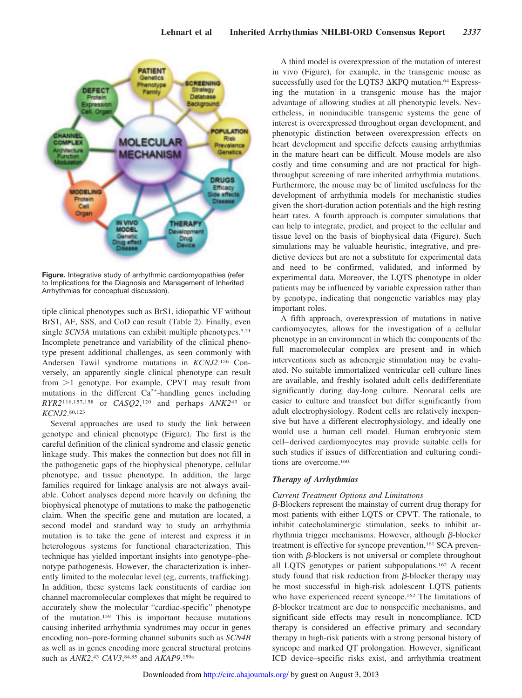

**Figure.** Integrative study of arrhythmic cardiomyopathies (refer to Implications for the Diagnosis and Management of Inherited Arrhythmias for conceptual discussion).

tiple clinical phenotypes such as BrS1, idiopathic VF without BrS1, AF, SSS, and CoD can result (Table 2). Finally, even single *SCN5A* mutations can exhibit multiple phenotypes.<sup>5,21</sup> Incomplete penetrance and variability of the clinical phenotype present additional challenges, as seen commonly with Andersen Tawil syndrome mutations in *KCNJ2*. <sup>156</sup> Conversely, an apparently single clinical phenotype can result from  $>1$  genotype. For example, CPVT may result from mutations in the different  $Ca^{2+}$ -handling genes including *RYR2*116,157,158 or *CASQ2*, <sup>120</sup> and perhaps *ANK2*<sup>43</sup> or *KCNJ2*. 80,123

Several approaches are used to study the link between genotype and clinical phenotype (Figure). The first is the careful definition of the clinical syndrome and classic genetic linkage study. This makes the connection but does not fill in the pathogenetic gaps of the biophysical phenotype, cellular phenotype, and tissue phenotype. In addition, the large families required for linkage analysis are not always available. Cohort analyses depend more heavily on defining the biophysical phenotype of mutations to make the pathogenetic claim. When the specific gene and mutation are located, a second model and standard way to study an arrhythmia mutation is to take the gene of interest and express it in heterologous systems for functional characterization. This technique has yielded important insights into genotype–phenotype pathogenesis. However, the characterization is inherently limited to the molecular level (eg, currents, trafficking). In addition, these systems lack constituents of cardiac ion channel macromolecular complexes that might be required to accurately show the molecular "cardiac-specific" phenotype of the mutation.<sup>159</sup> This is important because mutations causing inherited arrhythmia syndromes may occur in genes encoding non–pore-forming channel subunits such as *SCN4B* as well as in genes encoding more general structural proteins such as *ANK2*, <sup>43</sup> *CAV3*, 84,85 and *AKAP9*. 159a

A third model is overexpression of the mutation of interest in vivo (Figure), for example, in the transgenic mouse as successfully used for the LQTS3  $\Delta$ KPQ mutation.<sup>64</sup> Expressing the mutation in a transgenic mouse has the major advantage of allowing studies at all phenotypic levels. Nevertheless, in noninducible transgenic systems the gene of interest is overexpressed throughout organ development, and phenotypic distinction between overexpression effects on heart development and specific defects causing arrhythmias in the mature heart can be difficult. Mouse models are also costly and time consuming and are not practical for highthroughput screening of rare inherited arrhythmia mutations. Furthermore, the mouse may be of limited usefulness for the development of arrhythmia models for mechanistic studies given the short-duration action potentials and the high resting heart rates. A fourth approach is computer simulations that can help to integrate, predict, and project to the cellular and tissue level on the basis of biophysical data (Figure). Such simulations may be valuable heuristic, integrative, and predictive devices but are not a substitute for experimental data and need to be confirmed, validated, and informed by experimental data. Moreover, the LQTS phenotype in older patients may be influenced by variable expression rather than by genotype, indicating that nongenetic variables may play important roles.

A fifth approach, overexpression of mutations in native cardiomyocytes, allows for the investigation of a cellular phenotype in an environment in which the components of the full macromolecular complex are present and in which interventions such as adrenergic stimulation may be evaluated. No suitable immortalized ventricular cell culture lines are available, and freshly isolated adult cells dedifferentiate significantly during day-long culture. Neonatal cells are easier to culture and transfect but differ significantly from adult electrophysiology. Rodent cells are relatively inexpensive but have a different electrophysiology, and ideally one would use a human cell model. Human embryonic stem cell–derived cardiomyocytes may provide suitable cells for such studies if issues of differentiation and culturing conditions are overcome.<sup>160</sup>

#### *Therapy of Arrhythmias*

#### *Current Treatment Options and Limitations*

 $\beta$ -Blockers represent the mainstay of current drug therapy for most patients with either LQTS or CPVT. The rationale, to inhibit catecholaminergic stimulation, seeks to inhibit arrhythmia trigger mechanisms. However, although  $\beta$ -blocker treatment is effective for syncope prevention,<sup>161</sup> SCA prevention with  $\beta$ -blockers is not universal or complete throughout all LQTS genotypes or patient subpopulations.<sup>162</sup> A recent study found that risk reduction from  $\beta$ -blocker therapy may be most successful in high-risk adolescent LQTS patients who have experienced recent syncope.<sup>162</sup> The limitations of --blocker treatment are due to nonspecific mechanisms, and significant side effects may result in noncompliance. ICD therapy is considered an effective primary and secondary therapy in high-risk patients with a strong personal history of syncope and marked QT prolongation. However, significant ICD device–specific risks exist, and arrhythmia treatment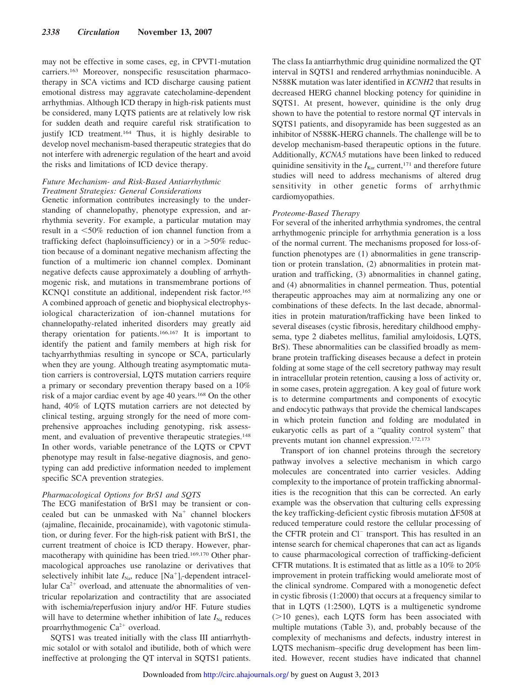may not be effective in some cases, eg, in CPVT1-mutation carriers.<sup>163</sup> Moreover, nonspecific resuscitation pharmacotherapy in SCA victims and ICD discharge causing patient emotional distress may aggravate catecholamine-dependent arrhythmias. Although ICD therapy in high-risk patients must be considered, many LQTS patients are at relatively low risk for sudden death and require careful risk stratification to justify ICD treatment.<sup>164</sup> Thus, it is highly desirable to develop novel mechanism-based therapeutic strategies that do not interfere with adrenergic regulation of the heart and avoid the risks and limitations of ICD device therapy.

#### *Future Mechanism- and Risk-Based Antiarrhythmic Treatment Strategies: General Considerations*

Genetic information contributes increasingly to the understanding of channelopathy, phenotype expression, and arrhythmia severity. For example, a particular mutation may result in a 50% reduction of ion channel function from a trafficking defect (haploinsufficiency) or in a  $>50\%$  reduction because of a dominant negative mechanism affecting the function of a multimeric ion channel complex. Dominant negative defects cause approximately a doubling of arrhythmogenic risk, and mutations in transmembrane portions of KCNQ1 constitute an additional, independent risk factor.<sup>165</sup> A combined approach of genetic and biophysical electrophysiological characterization of ion-channel mutations for channelopathy-related inherited disorders may greatly aid therapy orientation for patients.166,167 It is important to identify the patient and family members at high risk for tachyarrhythmias resulting in syncope or SCA, particularly when they are young. Although treating asymptomatic mutation carriers is controversial, LQTS mutation carriers require a primary or secondary prevention therapy based on a 10% risk of a major cardiac event by age 40 years.<sup>168</sup> On the other hand, 40% of LQTS mutation carriers are not detected by clinical testing, arguing strongly for the need of more comprehensive approaches including genotyping, risk assessment, and evaluation of preventive therapeutic strategies.<sup>148</sup> In other words, variable penetrance of the LQTS or CPVT phenotype may result in false-negative diagnosis, and genotyping can add predictive information needed to implement specific SCA prevention strategies.

## *Pharmacological Options for BrS1 and SQTS*

The ECG manifestation of BrS1 may be transient or concealed but can be unmasked with  $Na<sup>+</sup>$  channel blockers (ajmaline, flecainide, procainamide), with vagotonic stimulation, or during fever. For the high-risk patient with BrS1, the current treatment of choice is ICD therapy. However, pharmacotherapy with quinidine has been tried.169,170 Other pharmacological approaches use ranolazine or derivatives that selectively inhibit late  $I_{\text{Na}}$ , reduce  $[\text{Na}^+]_i$ -dependent intracellular  $Ca^{2+}$  overload, and attenuate the abnormalities of ventricular repolarization and contractility that are associated with ischemia/reperfusion injury and/or HF. Future studies will have to determine whether inhibition of late  $I_{N_a}$  reduces proarrhythmogenic  $Ca^{2+}$  overload.

SQTS1 was treated initially with the class III antiarrhythmic sotalol or with sotalol and ibutilide, both of which were ineffective at prolonging the QT interval in SQTS1 patients.

The class Ia antiarrhythmic drug quinidine normalized the QT interval in SQTS1 and rendered arrhythmias noninducible. A N588K mutation was later identified in *KCNH2* that results in decreased HERG channel blocking potency for quinidine in SQTS1. At present, however, quinidine is the only drug shown to have the potential to restore normal QT intervals in SQTS1 patients, and disopyramide has been suggested as an inhibitor of N588K-HERG channels. The challenge will be to develop mechanism-based therapeutic options in the future. Additionally, *KCNA5* mutations have been linked to reduced quinidine sensitivity in the  $I_{Kur}$  current,<sup>171</sup> and therefore future studies will need to address mechanisms of altered drug sensitivity in other genetic forms of arrhythmic cardiomyopathies.

#### *Proteome-Based Therapy*

For several of the inherited arrhythmia syndromes, the central arrhythmogenic principle for arrhythmia generation is a loss of the normal current. The mechanisms proposed for loss-offunction phenotypes are (1) abnormalities in gene transcription or protein translation, (2) abnormalities in protein maturation and trafficking, (3) abnormalities in channel gating, and (4) abnormalities in channel permeation. Thus, potential therapeutic approaches may aim at normalizing any one or combinations of these defects. In the last decade, abnormalities in protein maturation/trafficking have been linked to several diseases (cystic fibrosis, hereditary childhood emphysema, type 2 diabetes mellitus, familial amyloidosis, LQTS, BrS). These abnormalities can be classified broadly as membrane protein trafficking diseases because a defect in protein folding at some stage of the cell secretory pathway may result in intracellular protein retention, causing a loss of activity or, in some cases, protein aggregation. A key goal of future work is to determine compartments and components of exocytic and endocytic pathways that provide the chemical landscapes in which protein function and folding are modulated in eukaryotic cells as part of a "quality control system" that prevents mutant ion channel expression.172,173

Transport of ion channel proteins through the secretory pathway involves a selective mechanism in which cargo molecules are concentrated into carrier vesicles. Adding complexity to the importance of protein trafficking abnormalities is the recognition that this can be corrected. An early example was the observation that culturing cells expressing the key trafficking-deficient cystic fibrosis mutation  $\Delta$ F508 at reduced temperature could restore the cellular processing of the CFTR protein and Cl<sup>-</sup> transport. This has resulted in an intense search for chemical chaperones that can act as ligands to cause pharmacological correction of trafficking-deficient CFTR mutations. It is estimated that as little as a 10% to 20% improvement in protein trafficking would ameliorate most of the clinical syndrome. Compared with a monogenetic defect in cystic fibrosis (1:2000) that occurs at a frequency similar to that in LQTS (1:2500), LQTS is a multigenetic syndrome  $(>10$  genes), each LQTS form has been associated with multiple mutations (Table 3), and, probably because of the complexity of mechanisms and defects, industry interest in LQTS mechanism–specific drug development has been limited. However, recent studies have indicated that channel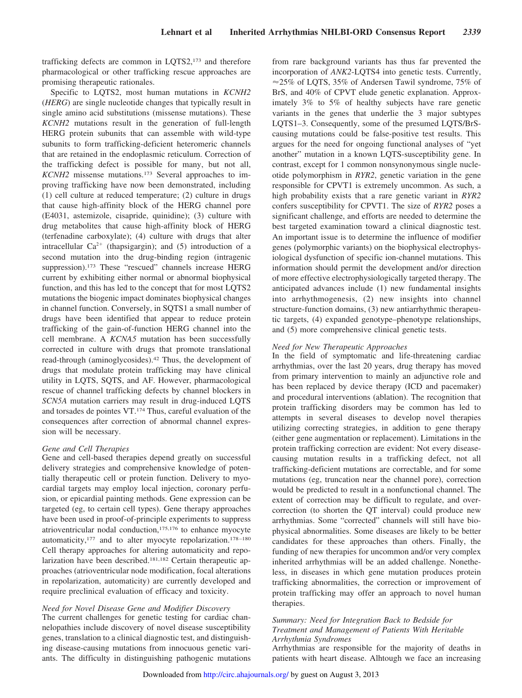trafficking defects are common in LQTS2,<sup>173</sup> and therefore pharmacological or other trafficking rescue approaches are promising therapeutic rationales.

Specific to LQTS2, most human mutations in *KCNH2* (*HERG*) are single nucleotide changes that typically result in single amino acid substitutions (missense mutations). These *KCNH2* mutations result in the generation of full-length HERG protein subunits that can assemble with wild-type subunits to form trafficking-deficient heteromeric channels that are retained in the endoplasmic reticulum. Correction of the trafficking defect is possible for many, but not all, *KCNH2* missense mutations.<sup>173</sup> Several approaches to improving trafficking have now been demonstrated, including (1) cell culture at reduced temperature; (2) culture in drugs that cause high-affinity block of the HERG channel pore (E4031, astemizole, cisapride, quinidine); (3) culture with drug metabolites that cause high-affinity block of HERG (terfenadine carboxylate); (4) culture with drugs that alter intracellular  $Ca^{2+}$  (thapsigargin); and (5) introduction of a second mutation into the drug-binding region (intragenic suppression).<sup>173</sup> These "rescued" channels increase HERG current by exhibiting either normal or abnormal biophysical function, and this has led to the concept that for most LQTS2 mutations the biogenic impact dominates biophysical changes in channel function. Conversely, in SQTS1 a small number of drugs have been identified that appear to reduce protein trafficking of the gain-of-function HERG channel into the cell membrane. A *KCNA5* mutation has been successfully corrected in culture with drugs that promote translational read-through (aminoglycosides).<sup>42</sup> Thus, the development of drugs that modulate protein trafficking may have clinical utility in LQTS, SQTS, and AF. However, pharmacological rescue of channel trafficking defects by channel blockers in *SCN5A* mutation carriers may result in drug-induced LQTS and torsades de pointes VT.<sup>174</sup> Thus, careful evaluation of the consequences after correction of abnormal channel expression will be necessary.

#### *Gene and Cell Therapies*

Gene and cell-based therapies depend greatly on successful delivery strategies and comprehensive knowledge of potentially therapeutic cell or protein function. Delivery to myocardial targets may employ local injection, coronary perfusion, or epicardial painting methods. Gene expression can be targeted (eg, to certain cell types). Gene therapy approaches have been used in proof-of-principle experiments to suppress atrioventricular nodal conduction,175,176 to enhance myocyte automaticity,<sup>177</sup> and to alter myocyte repolarization.178–180 Cell therapy approaches for altering automaticity and repolarization have been described.181,182 Certain therapeutic approaches (atrioventricular node modification, focal alterations in repolarization, automaticity) are currently developed and require preclinical evaluation of efficacy and toxicity.

#### *Need for Novel Disease Gene and Modifier Discovery*

The current challenges for genetic testing for cardiac channelopathies include discovery of novel disease susceptibility genes, translation to a clinical diagnostic test, and distinguishing disease-causing mutations from innocuous genetic variants. The difficulty in distinguishing pathogenic mutations

from rare background variants has thus far prevented the incorporation of *ANK2*-LQTS4 into genetic tests. Currently,  $\approx$ 25% of LQTS, 35% of Andersen Tawil syndrome, 75% of BrS, and 40% of CPVT elude genetic explanation. Approximately 3% to 5% of healthy subjects have rare genetic variants in the genes that underlie the 3 major subtypes LQTS1–3. Consequently, some of the presumed LQTS/BrScausing mutations could be false-positive test results. This argues for the need for ongoing functional analyses of "yet another" mutation in a known LQTS-susceptibility gene. In contrast, except for 1 common nonsynonymous single nucleotide polymorphism in *RYR2*, genetic variation in the gene responsible for CPVT1 is extremely uncommon. As such, a high probability exists that a rare genetic variant in *RYR2* confers susceptibility for CPVT1. The size of *RYR2* poses a significant challenge, and efforts are needed to determine the best targeted examination toward a clinical diagnostic test. An important issue is to determine the influence of modifier genes (polymorphic variants) on the biophysical electrophysiological dysfunction of specific ion-channel mutations. This information should permit the development and/or direction of more effective electrophysiologically targeted therapy. The anticipated advances include (1) new fundamental insights into arrhythmogenesis, (2) new insights into channel structure-function domains, (3) new antiarrhythmic therapeutic targets, (4) expanded genotype–phenotype relationships, and (5) more comprehensive clinical genetic tests.

#### *Need for New Therapeutic Approaches*

In the field of symptomatic and life-threatening cardiac arrhythmias, over the last 20 years, drug therapy has moved from primary intervention to mainly an adjunctive role and has been replaced by device therapy (ICD and pacemaker) and procedural interventions (ablation). The recognition that protein trafficking disorders may be common has led to attempts in several diseases to develop novel therapies utilizing correcting strategies, in addition to gene therapy (either gene augmentation or replacement). Limitations in the protein trafficking correction are evident: Not every diseasecausing mutation results in a trafficking defect, not all trafficking-deficient mutations are correctable, and for some mutations (eg, truncation near the channel pore), correction would be predicted to result in a nonfunctional channel. The extent of correction may be difficult to regulate, and overcorrection (to shorten the QT interval) could produce new arrhythmias. Some "corrected" channels will still have biophysical abnormalities. Some diseases are likely to be better candidates for these approaches than others. Finally, the funding of new therapies for uncommon and/or very complex inherited arrhythmias will be an added challenge. Nonetheless, in diseases in which gene mutation produces protein trafficking abnormalities, the correction or improvement of protein trafficking may offer an approach to novel human therapies.

#### *Summary: Need for Integration Back to Bedside for Treatment and Management of Patients With Heritable Arrhythmia Syndromes*

Arrhythmias are responsible for the majority of deaths in patients with heart disease. Alhtough we face an increasing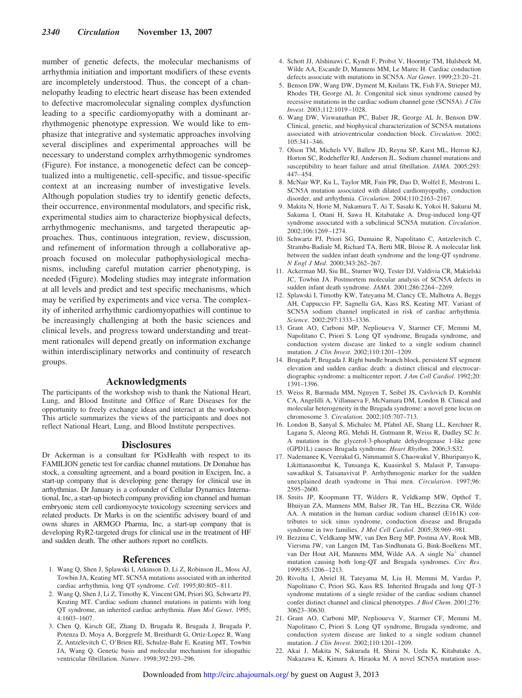number of genetic defects, the molecular mechanisms of arrhythmia initiation and important modifiers of these events are incompletely understood. Thus, the concept of a channelopathy leading to electric heart disease has been extended to defective macromolecular signaling complex dysfunction leading to a specific cardiomyopathy with a dominant arrhythmogenic phenotype expression. We would like to emphasize that integrative and systematic approaches involving several disciplines and experimental approaches will be necessary to understand complex arrhythmogenic syndromes (Figure). For instance, a monogenetic defect can be conceptualized into a multigenetic, cell-specific, and tissue-specific context at an increasing number of investigative levels. Although population studies try to identify genetic defects, their occurrence, environmental modulators, and specific risk, experimental studies aim to characterize biophysical defects, arrhythmogenic mechanisms, and targeted therapeutic approaches. Thus, continuous integration, review, discussion, and refinement of information through a collaborative approach focused on molecular pathophysiological mechanisms, including careful mutation carrier phenotyping, is needed (Figure). Modeling studies may integrate information at all levels and predict and test specific mechanisms, which may be verified by experiments and vice versa. The complexity of inherited arrhythmic cardiomyopathies will continue to be increasingly challenging at both the basic sciences and clinical levels, and progress toward understanding and treatment rationales will depend greatly on information exchange within interdisciplinary networks and continuity of research groups.

## **Acknowledgments**

The participants of the workshop wish to thank the National Heart, Lung, and Blood Institute and Office of Rare Diseases for the opportunity to freely exchange ideas and interact at the workshop. This article summarizes the views of the participants and does not reflect National Heart, Lung, and Blood Institute perspectives.

#### **Disclosures**

Dr Ackerman is a consultant for PGxHealth with respect to its FAMILION genetic test for cardiac channel mutations. Dr Donahue has stock, a consulting agreement, and a board position in Excigen, Inc, a start-up company that is developing gene therapy for clinical use in arrhythmias. Dr January is a cofounder of Cellular Dynamics International, Inc, a start-up biotech company providing ion channel and human embryonic stem cell cardiomyocyte toxicology screening services and related products. Dr Marks is on the scientific advisory board of and owns shares in ARMGO Pharma, Inc, a start-up company that is developing RyR2-targeted drugs for clinical use in the treatment of HF and sudden death. The other authors report no conflicts.

#### **References**

- 1. Wang Q, Shen J, Splawski I, Atkinson D, Li Z, Robinson JL, Moss AJ, Towbin JA, Keating MT. SCN5A mutations associated with an inherited cardiac arrhythmia, long QT syndrome. *Cell*. 1995;80:805–811.
- 2. Wang Q, Shen J, Li Z, Timothy K, Vincent GM, Priori SG, Schwartz PJ, Keating MT. Cardiac sodium channel mutations in patients with long QT syndrome, an inherited cardiac arrhythmia. *Hum Mol Genet*. 1995; 4:1603–1607.
- 3. Chen Q, Kirsch GE, Zhang D, Brugada R, Brugada J, Brugada P, Potenza D, Moya A, Borggrefe M, Breithardt G, Ortiz-Lopez R, Wang Z, Antzelevitch C, O'Brien RE, Schulze-Bahr E, Keating MT, Towbin JA, Wang Q. Genetic basis and molecular mechanism for idiopathic ventricular fibrillation. *Nature*. 1998;392:293–296.
- 4. Schott JJ, Alshinawi C, Kyndt F, Probst V, Hoorntje TM, Hulsbeek M, Wilde AA, Escande D, Mannens MM, Le Marec H. Cardiac conduction defects associate with mutations in SCN5A. *Nat Genet*. 1999;23:20–21.
- 5. Benson DW, Wang DW, Dyment M, Knilans TK, Fish FA, Strieper MJ, Rhodes TH, George AL Jr. Congenital sick sinus syndrome caused by recessive mutations in the cardiac sodium channel gene (SCN5A). *J Clin Invest*. 2003;112:1019–1028.
- 6. Wang DW, Viswanathan PC, Balser JR, George AL Jr, Benson DW. Clinical, genetic, and biophysical characterization of SCN5A mutations associated with atrioventricular conduction block. *Circulation*. 2002; 105:341–346.
- 7. Olson TM, Michels VV, Ballew JD, Reyna SP, Karst ML, Herron KJ, Horton SC, Rodeheffer RJ, Anderson JL. Sodium channel mutations and susceptibility to heart failure and atrial fibrillation. *JAMA*. 2005;293: 447–454.
- 8. McNair WP, Ku L, Taylor MR, Fain PR, Dao D, Wolfel E, Mestroni L. SCN5A mutation associated with dilated cardiomyopathy, conduction disorder, and arrhythmia. *Circulation*. 2004;110:2163–2167.
- 9. Makita N, Horie M, Nakamura T, Ai T, Sasaki K, Yokoi H, Sakurai M, Sakuma I, Otani H, Sawa H, Kitabatake A. Drug-induced long-QT syndrome associated with a subclinical SCN5A mutation. *Circulation*. 2002;106:1269–1274.
- 10. Schwartz PJ, Priori SG, Dumaine R, Napolitano C, Antzelevitch C, Stramba-Badiale M, Richard TA, Berti MR, Bloise R. A molecular link between the sudden infant death syndrome and the long-QT syndrome. *N Engl J Med*. 2000;343:262–267.
- 11. Ackerman MJ, Siu BL, Sturner WQ, Tester DJ, Valdivia CR, Makielski JC, Towbin JA. Postmortem molecular analysis of SCN5A defects in sudden infant death syndrome. *JAMA*. 2001;286:2264–2269.
- 12. Splawski I, Timothy KW, Tateyama M, Clancy CE, Malhotra A, Beggs AH, Cappuccio FP, Sagnella GA, Kass RS, Keating MT. Variant of SCN5A sodium channel implicated in risk of cardiac arrhythmia. *Science*. 2002;297:1333–1336.
- 13. Grant AO, Carboni MP, Neplioueva V, Starmer CF, Memmi M, Napolitano C, Priori S. Long QT syndrome, Brugada syndrome, and conduction system disease are linked to a single sodium channel mutation. *J Clin Invest*. 2002;110:1201–1209.
- 14. Brugada P, Brugada J. Right bundle branch block, persistent ST segment elevation and sudden cardiac death: a distinct clinical and electrocardiographic syndrome: a multicenter report. *J Am Coll Cardiol*. 1992;20: 1391–1396.
- 15. Weiss R, Barmada MM, Nguyen T, Seibel JS, Cavlovich D, Kornblit CA, Angelilli A, Villanueva F, McNamara DM, London B. Clinical and molecular heterogeneity in the Brugada syndrome: a novel gene locus on chromosome 3. *Circulation*. 2002;105:707–713.
- 16. London B, Sanyal S, Michalec M, Pfahnl AE, Shang LL, Kerchner R, Lagana S, Aleong RG, Mehdi H, Gutmann R, Weiss R, Dudley SC Jr. A mutation in the glycerol-3-phosphate dehydrogenase 1-like gene (GPD1L) causes Brugada syndrome. *Heart Rhythm*. 2006;3:S32.
- 17. Nademanee K, Veerakul G, Nimmannit S, Chaowakul V, Bhuripanyo K, Likittanasombat K, Tunsanga K, Kuasirikul S, Malasit P, Tansupasawadikul S, Tatsanavivat P. Arrhythmogenic marker for the sudden unexplained death syndrome in Thai men. *Circulation*. 1997;96: 2595–2600.
- 18. Smits JP, Koopmann TT, Wilders R, Veldkamp MW, Opthof T, Bhuiyan ZA, Mannens MM, Balser JR, Tan HL, Bezzina CR, Wilde AA. A mutation in the human cardiac sodium channel (E161K) contributes to sick sinus syndrome, conduction disease and Brugada syndrome in two families. *J Mol Cell Cardiol*. 2005;38:969–981.
- 19. Bezzina C, Veldkamp MW, van Den Berg MP, Postma AV, Rook MB, Viersma JW, van Langen IM, Tan-Sindhunata G, Bink-Boelkens MT, van Der Hout AH, Mannens MM, Wilde AA. A single Na<sup>+</sup> channel mutation causing both long-QT and Brugada syndromes. *Circ Res*. 1999;85:1206–1213.
- 20. Rivolta I, Abriel H, Tateyama M, Liu H, Memmi M, Vardas P, Napolitano C, Priori SG, Kass RS. Inherited Brugada and long QT-3 syndrome mutations of a single residue of the cardiac sodium channel confer distinct channel and clinical phenotypes. *J Biol Chem*. 2001;276: 30623–30630.
- 21. Grant AO, Carboni MP, Neplioueva V, Starmer CF, Memmi M, Napolitano C, Priori S. Long QT syndrome, Brugada syndrome, and conduction system disease are linked to a single sodium channel mutation. *J Clin Invest*. 2002;110:1201–1209.
- 22. Akai J, Makita N, Sakurada H, Shirai N, Ueda K, Kitabatake A, Nakazawa K, Kimura A, Hiraoka M. A novel SCN5A mutation asso-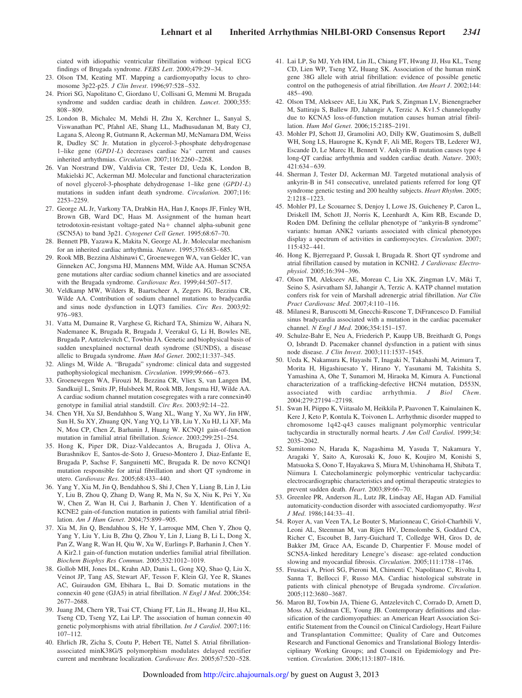ciated with idiopathic ventricular fibrillation without typical ECG findings of Brugada syndrome. *FEBS Lett*. 2000;479:29–34.

- 23. Olson TM, Keating MT. Mapping a cardiomyopathy locus to chromosome 3p22-p25. *J Clin Invest*. 1996;97:528–532.
- 24. Priori SG, Napolitano C, Giordano U, Collisani G, Memmi M. Brugada syndrome and sudden cardiac death in children. *Lancet*. 2000;355: 808–809.
- 25. London B, Michalec M, Mehdi H, Zhu X, Kerchner L, Sanyal S, Viswanathan PC, Pfahnl AE, Shang LL, Madhusudanan M, Baty CJ, Lagana S, Aleong R, Gutmann R, Ackerman MJ, McNamara DM, Weiss R, Dudley SC Jr. Mutation in glycerol-3-phosphate dehydrogenase 1–like gene (*GPD1-L*) decreases cardiac Na<sup>+</sup> current and causes inherited arrhythmias. *Circulation*. 2007;116:2260–2268.
- 26. Van Norstrand DW, Valdivia CR, Tester DJ, Ueda K, London B, Makielski JC, Ackerman MJ. Molecular and functional characterization of novel glycerol-3-phosphate dehydrogenase 1–like gene (*GPD1-L*) mutations in sudden infant death syndrome. *Circulation.* 2007;116: 2253–2259.
- 27. George AL Jr, Varkony TA, Drabkin HA, Han J, Knops JF, Finley WH, Brown GB, Ward DC, Haas M. Assignment of the human heart tetrodotoxin-resistant voltage-gated Na+ channel alpha-subunit gene (SCN5A) to band 3p21. *Cytogenet Cell Genet*. 1995;68:67–70.
- 28. Bennett PB, Yazawa K, Makita N, George AL Jr. Molecular mechanism for an inherited cardiac arrhythmia. *Nature*. 1995;376:683–685.
- 29. Rook MB, Bezzina Alshinawi C, Groenewegen WA, van Gelder IC, van Ginneken AC, Jongsma HJ, Mannens MM, Wilde AA. Human SCN5A gene mutations alter cardiac sodium channel kinetics and are associated with the Brugada syndrome. *Cardiovasc Res*. 1999;44:507–517.
- 30. Veldkamp MW, Wilders R, Baartscheer A, Zegers JG, Bezzina CR, Wilde AA. Contribution of sodium channel mutations to bradycardia and sinus node dysfunction in LQT3 families. *Circ Res*. 2003;92: 976–983.
- 31. Vatta M, Dumaine R, Varghese G, Richard TA, Shimizu W, Aihara N, Nademanee K, Brugada R, Brugada J, Veerakul G, Li H, Bowles NE, Brugada P, Antzelevitch C, Towbin JA. Genetic and biophysical basis of sudden unexplained nocturnal death syndrome (SUNDS), a disease allelic to Brugada syndrome. *Hum Mol Genet*. 2002;11:337–345.
- 32. Alings M, Wilde A. "Brugada" syndrome: clinical data and suggested pathophysiological mechanism. *Circulation*. 1999;99:666–673.
- 33. Groenewegen WA, Firouzi M, Bezzina CR, Vliex S, van Langen IM, Sandkuijl L, Smits JP, Hulsbeek M, Rook MB, Jongsma HJ, Wilde AA. A cardiac sodium channel mutation cosegregates with a rare connexin40 genotype in familial atrial standstill. *Circ Res*. 2003;92:14–22.
- 34. Chen YH, Xu SJ, Bendahhou S, Wang XL, Wang Y, Xu WY, Jin HW, Sun H, Su XY, Zhuang QN, Yang YQ, Li YB, Liu Y, Xu HJ, Li XF, Ma N, Mou CP, Chen Z, Barhanin J, Huang W. KCNQ1 gain-of-function mutation in familial atrial fibrillation. *Science*. 2003;299:251–254.
- 35. Hong K, Piper DR, Diaz-Valdecantos A, Brugada J, Oliva A, Burashnikov E, Santos-de-Soto J, Grueso-Montero J, Diaz-Enfante E, Brugada P, Sachse F, Sanguinetti MC, Brugada R. De novo KCNQ1 mutation responsible for atrial fibrillation and short QT syndrome in utero. *Cardiovasc Res*. 2005;68:433–440.
- 36. Yang Y, Xia M, Jin Q, Bendahhou S, Shi J, Chen Y, Liang B, Lin J, Liu Y, Liu B, Zhou Q, Zhang D, Wang R, Ma N, Su X, Niu K, Pei Y, Xu W, Chen Z, Wan H, Cui J, Barhanin J, Chen Y. Identification of a KCNE2 gain-of-function mutation in patients with familial atrial fibrillation. *Am J Hum Genet*. 2004;75:899–905.
- 37. Xia M, Jin Q, Bendahhou S, He Y, Larroque MM, Chen Y, Zhou Q, Yang Y, Liu Y, Liu B, Zhu Q, Zhou Y, Lin J, Liang B, Li L, Dong X, Pan Z, Wang R, Wan H, Qiu W, Xu W, Eurlings P, Barhanin J, Chen Y. A Kir2.1 gain-of-function mutation underlies familial atrial fibrillation. *Biochem Biophys Res Commun*. 2005;332:1012–1019.
- 38. Gollob MH, Jones DL, Krahn AD, Danis L, Gong XQ, Shao Q, Liu X, Veinot JP, Tang AS, Stewart AF, Tesson F, Klein GJ, Yee R, Skanes AC, Guiraudon GM, Ebihara L, Bai D. Somatic mutations in the connexin 40 gene (GJA5) in atrial fibrillation. *N Engl J Med*. 2006;354: 2677–2688.
- 39. Juang JM, Chern YR, Tsai CT, Chiang FT, Lin JL, Hwang JJ, Hsu KL, Tseng CD, Tseng YZ, Lai LP. The association of human connexin 40 genetic polymorphisms with atrial fibrillation. *Int J Cardiol*. 2007;116: 107–112.
- 40. Ehrlich JR, Zicha S, Coutu P, Hebert TE, Nattel S. Atrial fibrillationassociated minK38G/S polymorphism modulates delayed rectifier current and membrane localization. *Cardiovasc Res*. 2005;67:520–528.
- 41. Lai LP, Su MJ, Yeh HM, Lin JL, Chiang FT, Hwang JJ, Hsu KL, Tseng CD, Lien WP, Tseng YZ, Huang SK. Association of the human minK gene 38G allele with atrial fibrillation: evidence of possible genetic control on the pathogenesis of atrial fibrillation. *Am Heart J*. 2002;144: 485–490.
- 42. Olson TM, Alekseev AE, Liu XK, Park S, Zingman LV, Bienengraeber M, Sattiraju S, Ballew JD, Jahangir A, Terzic A. Kv1.5 channelopathy due to KCNA5 loss-of-function mutation causes human atrial fibrillation. *Hum Mol Genet*. 2006;15:2185–2191.
- 43. Mohler PJ, Schott JJ, Gramolini AO, Dilly KW, Guatimosim S, duBell WH, Song LS, Haurogne K, Kyndt F, Ali ME, Rogers TB, Lederer WJ, Escande D, Le Marec H, Bennett V. Ankyrin-B mutation causes type 4 long-QT cardiac arrhythmia and sudden cardiac death. *Nature*. 2003; 421:634–639.
- 44. Sherman J, Tester DJ, Ackerman MJ. Targeted mutational analysis of ankyrin-B in 541 consecutive, unrelated patients referred for long QT syndrome genetic testing and 200 healthy subjects. *Heart Rhythm*. 2005; 2:1218–1223.
- 45. Mohler PJ, Le Scouarnec S, Denjoy I, Lowe JS, Guicheney P, Caron L, Driskell IM, Schott JJ, Norris K, Leenhardt A, Kim RB, Escande D, Roden DM. Defining the cellular phenotype of "ankyrin-B syndrome" variants: human ANK2 variants associated with clinical phenotypes display a spectrum of activities in cardiomyocytes. *Circulation*. 2007; 115:432–441.
- 46. Hong K, Bjerregaard P, Gussak I, Brugada R. Short QT syndrome and atrial fibrillation caused by mutation in KCNH2. *J Cardiovasc Electrophysiol*. 2005;16:394–396.
- 47. Olson TM, Alekseev AE, Moreau C, Liu XK, Zingman LV, Miki T, Seino S, Asirvatham SJ, Jahangir A, Terzic A. KATP channel mutation confers risk for vein of Marshall adrenergic atrial fibrillation. *Nat Clin Pract Cardiovasc Med*. 2007;4:110–116.
- 48. Milanesi R, Baruscotti M, Gnecchi-Ruscone T, DiFrancesco D. Familial sinus bradycardia associated with a mutation in the cardiac pacemaker channel. *N Engl J Med*. 2006;354:151–157.
- 49. Schulze-Bahr E, Neu A, Friederich P, Kaupp UB, Breithardt G, Pongs O, Isbrandt D. Pacemaker channel dysfunction in a patient with sinus node disease. *J Clin Invest*. 2003;111:1537–1545.
- 50. Ueda K, Nakamura K, Hayashi T, Inagaki N, Takahashi M, Arimura T, Morita H, Higashiuesato Y, Hirano Y, Yasunami M, Takishita S, Yamashina A, Ohe T, Sunamori M, Hiraoka M, Kimura A. Functional characterization of a trafficking-defective HCN4 mutation, D553N, associated with cardiac arrhythmia. *J Biol Chem*. 2004;279:27194–27198.
- 51. Swan H, Piippo K, Viitasalo M, Heikkila P, Paavonen T, Kainulainen K, Kere J, Keto P, Kontula K, Toivonen L. Arrhythmic disorder mapped to chromosome 1q42-q43 causes malignant polymorphic ventricular tachycardia in structurally normal hearts. *J Am Coll Cardiol*. 1999;34: 2035–2042.
- 52. Sumitomo N, Harada K, Nagashima M, Yasuda T, Nakamura Y, Aragaki Y, Saito A, Kurosaki K, Jouo K, Koujiro M, Konishi S, Matsuoka S, Oono T, Hayakawa S, Miura M, Ushinohama H, Shibata T, Niimura I. Catecholaminergic polymorphic ventricular tachycardia: electrocardiographic characteristics and optimal therapeutic strategies to prevent sudden death. *Heart*. 2003;89:66–70.
- 53. Greenlee PR, Anderson JL, Lutz JR, Lindsay AE, Hagan AD. Familial automaticity-conduction disorder with associated cardiomyopathy. *West J Med*. 1986;144:33–41.
- 54. Royer A, van Veen TA, Le Bouter S, Marionneau C, Griol-Charhbili V, Leoni AL, Steenman M, van Rijen HV, Demolombe S, Goddard CA, Richer C, Escoubet B, Jarry-Guichard T, Colledge WH, Gros D, de Bakker JM, Grace AA, Escande D, Charpentier F. Mouse model of SCN5A-linked hereditary Lenegre's disease: age-related conduction slowing and myocardial fibrosis. *Circulation*. 2005;111:1738–1746.
- 55. Frustaci A, Priori SG, Pieroni M, Chimenti C, Napolitano C, Rivolta I, Sanna T, Bellocci F, Russo MA. Cardiac histological substrate in patients with clinical phenotype of Brugada syndrome. *Circulation*. 2005;112:3680–3687.
- 56. Maron BJ, Towbin JA, Thiene G, Antzelevitch C, Corrado D, Arnett D, Moss AJ, Seidman CE, Young JB. Contemporary definitions and classification of the cardiomyopathies: an American Heart Association Scientific Statement from the Council on Clinical Cardiology, Heart Failure and Transplantation Committee; Quality of Care and Outcomes Research and Functional Genomics and Translational Biology Interdisciplinary Working Groups; and Council on Epidemiology and Prevention. *Circulation*. 2006;113:1807–1816.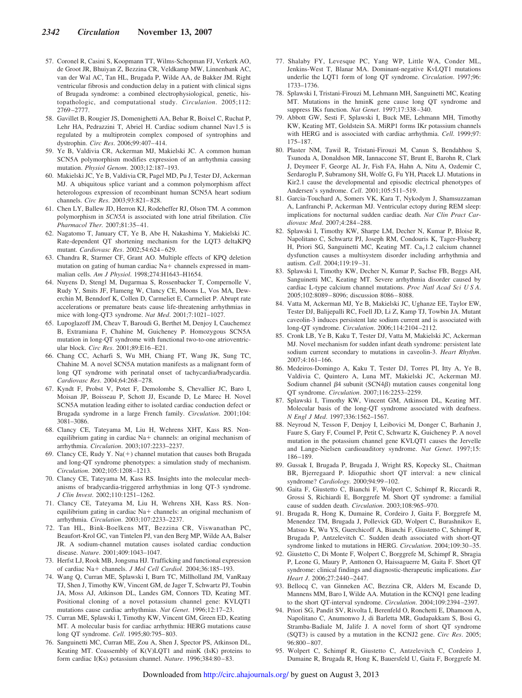- 57. Coronel R, Casini S, Koopmann TT, Wilms-Schopman FJ, Verkerk AO, de Groot JR, Bhuiyan Z, Bezzina CR, Veldkamp MW, Linnenbank AC, van der Wal AC, Tan HL, Brugada P, Wilde AA, de Bakker JM. Right ventricular fibrosis and conduction delay in a patient with clinical signs of Brugada syndrome: a combined electrophysiological, genetic, histopathologic, and computational study. *Circulation*. 2005;112: 2769–2777.
- 58. Gavillet B, Rougier JS, Domenighetti AA, Behar R, Boixel C, Ruchat P, Lehr HA, Pedrazzini T, Abriel H. Cardiac sodium channel Nav1.5 is regulated by a multiprotein complex composed of syntrophins and dystrophin. *Circ Res*. 2006;99:407–414.
- 59. Ye B, Valdivia CR, Ackerman MJ, Makielski JC. A common human SCN5A polymorphism modifies expression of an arrhythmia causing mutation. *Physiol Genom*. 2003;12:187–193.
- 60. Makielski JC, Ye B, Valdivia CR, Pagel MD, Pu J, Tester DJ, Ackerman MJ. A ubiquitous splice variant and a common polymorphism affect heterologous expression of recombinant human SCN5A heart sodium channels. *Circ Res*. 2003;93:821–828.
- 61. Chen LY, Ballew JD, Herron KJ, Rodeheffer RJ, Olson TM. A common polymorphism in *SCN5A* is associated with lone atrial fibrilation. *Clin Pharmacol Ther.* 2007;81:35–41.
- 62. Nagatomo T, January CT, Ye B, Abe H, Nakashima Y, Makielski JC. Rate-dependent QT shortening mechanism for the LQT3 deltaKPQ mutant. *Cardiovasc Res*. 2002;54:624–629.
- 63. Chandra R, Starmer CF, Grant AO. Multiple effects of KPQ deletion mutation on gating of human cardiac  $Na+$  channels expressed in mammalian cells. *Am J Physiol*. 1998;274:H1643–H1654.
- 64. Nuyens D, Stengl M, Dugarmaa S, Rossenbacker T, Compernolle V, Rudy Y, Smits JF, Flameng W, Clancy CE, Moons L, Vos MA, Dewerchin M, Benndorf K, Collen D, Carmeliet E, Carmeliet P. Abrupt rate accelerations or premature beats cause life-threatening arrhythmias in mice with long-QT3 syndrome. *Nat Med*. 2001;7:1021–1027.
- 65. Lupoglazoff JM, Cheav T, Baroudi G, Berthet M, Denjoy I, Cauchemez B, Extramiana F, Chahine M, Guicheney P. Homozygous SCN5A mutation in long-QT syndrome with functional two-to-one atrioventricular block. *Circ Res*. 2001;89:E16–E21.
- 66. Chang CC, Acharfi S, Wu MH, Chiang FT, Wang JK, Sung TC, Chahine M. A novel SCN5A mutation manifests as a malignant form of long QT syndrome with perinatal onset of tachycardia/bradycardia. *Cardiovasc Res*. 2004;64:268–278.
- 67. Kyndt F, Probst V, Potet F, Demolombe S, Chevallier JC, Baro I, Moisan JP, Boisseau P, Schott JJ, Escande D, Le Marec H. Novel SCN5A mutation leading either to isolated cardiac conduction defect or Brugada syndrome in a large French family. *Circulation*. 2001;104: 3081–3086.
- 68. Clancy CE, Tateyama M, Liu H, Wehrens XHT, Kass RS. Nonequilibrium gating in cardiac  $Na +$  channels: an original mechanism of arrhythmia. *Circulation*. 2003;107:2233–2237.
- 69. Clancy CE, Rudy Y. Na $(+)$  channel mutation that causes both Brugada and long-QT syndrome phenotypes: a simulation study of mechanism. *Circulation*. 2002;105:1208–1213.
- 70. Clancy CE, Tateyama M, Kass RS. Insights into the molecular mechanisms of bradycardia-triggered arrhythmias in long QT-3 syndrome. *J Clin Invest*. 2002;110:1251–1262.
- 71. Clancy CE, Tateyama M, Liu H, Wehrens XH, Kass RS. Nonequilibrium gating in cardiac  $Na +$  channels: an original mechanism of arrhythmia. *Circulation*. 2003;107:2233–2237.
- 72. Tan HL, Bink-Boelkens MT, Bezzina CR, Viswanathan PC, Beaufort-Krol GC, van Tintelen PJ, van den Berg MP, Wilde AA, Balser JR. A sodium-channel mutation causes isolated cardiac conduction disease. *Nature*. 2001;409:1043–1047.
- 73. Herfst LJ, Rook MB, Jongsma HJ. Trafficking and functional expression of cardiac Na+ channels. *J Mol Cell Cardiol*. 2004;36:185-193.
- 74. Wang Q, Curran ME, Splawski I, Burn TC, Millholland JM, VanRaay TJ, Shen J, Timothy KW, Vincent GM, de Jager T, Schwartz PJ, Toubin JA, Moss AJ, Atkinson DL, Landes GM, Connors TD, Keating MT. Positional cloning of a novel potassium channel gene: KVLQT1 mutations cause cardiac arrhythmias. *Nat Genet*. 1996;12:17–23.
- 75. Curran ME, Splawski I, Timothy KW, Vincent GM, Green ED, Keating MT. A molecular basis for cardiac arrhythmia: HERG mutations cause long QT syndrome. *Cell*. 1995;80:795–803.
- 76. Sanguinetti MC, Curran ME, Zou A, Shen J, Spector PS, Atkinson DL, Keating MT. Coassembly of K(V)LQT1 and minK (IsK) proteins to form cardiac I(Ks) potassium channel. *Nature*. 1996;384:80–83.
- 77. Shalaby FY, Levesque PC, Yang WP, Little WA, Conder ML, Jenkins-West T, Blanar MA. Dominant-negative KvLQT1 mutations underlie the LQT1 form of long QT syndrome. *Circulation*. 1997;96: 1733–1736.
- 78. Splawski I, Tristani-Firouzi M, Lehmann MH, Sanguinetti MC, Keating MT. Mutations in the hminK gene cause long QT syndrome and suppress IKs function. *Nat Genet*. 1997;17:338–340.
- 79. Abbott GW, Sesti F, Splawski I, Buck ME, Lehmann MH, Timothy KW, Keating MT, Goldstein SA. MiRP1 forms IKr potassium channels with HERG and is associated with cardiac arrhythmia. *Cell*. 1999;97: 175–187.
- 80. Plaster NM, Tawil R, Tristani-Firouzi M, Canun S, Bendahhou S, Tsunoda A, Donaldson MR, Iannaccone ST, Brunt E, Barohn R, Clark J, Deymeer F, George AL Jr, Fish FA, Hahn A, Nitu A, Ozdemir C, Serdaroglu P, Subramony SH, Wolfe G, Fu YH, Ptacek LJ. Mutations in Kir2.1 cause the developmental and episodic electrical phenotypes of Andersen's syndrome. *Cell*. 2001;105:511–519.
- 81. Garcia-Touchard A, Somers VK, Kara T, Nykodym J, Shamsuzzaman A, Lanfranchi P, Ackerman MJ. Ventricular ectopy during REM sleep: implications for nocturnal sudden cardiac death. *Nat Clin Pract Cardiovasc Med*. 2007;4:284–288.
- 82. Splawski I, Timothy KW, Sharpe LM, Decher N, Kumar P, Bloise R, Napolitano C, Schwartz PJ, Joseph RM, Condouris K, Tager-Flusberg H, Priori SG, Sanguinetti MC, Keating MT. Ca<sub>v</sub>1.2 calcium channel dysfunction causes a multisystem disorder including arrhythmia and autism. *Cell*. 2004;119:19–31.
- 83. Splawski I, Timothy KW, Decher N, Kumar P, Sachse FB, Beggs AH, Sanguinetti MC, Keating MT. Severe arrhythmia disorder caused by cardiac L-type calcium channel mutations. *Proc Natl Acad Sci U S A*. 2005;102:8089–8096; discussion 8086–8088.
- 84. Vatta M, Ackerman MJ, Ye B, Makielski JC, Ughanze EE, Taylor EW, Tester DJ, Balijepalli RC, Foell JD, Li Z, Kamp TJ, Towbin JA. Mutant caveolin-3 induces persistent late sodium current and is associated with long-QT syndrome. *Circulation*. 2006;114:2104–2112.
- 85. Cronk LB, Ye B, Kaku T, Tester DJ, Vatta M, Makielski JC, Ackerman MJ. Novel mechanism for sudden infant death syndrome: persistent late sodium current secondary to mutations in caveolin-3. *Heart Rhythm*. 2007;4:161–166.
- 86. Medeiros-Domingo A, Kaku T, Tester DJ, Torres PI, Itty A, Ye B, Valdivia C, Quintero A, Luna MT, Makielski JC, Ackerman MJ. Sodium channel  $\beta$ 4 subunit (SCN4 $\beta$ ) mutation causes congenital long QT syndrome. *Circulation*. 2007;116:2253–2259.
- 87. Splawski I, Timothy KW, Vincent GM, Atkinson DL, Keating MT. Molecular basis of the long-QT syndrome associated with deafness. *N Engl J Med*. 1997;336:1562–1567.
- 88. Neyroud N, Tesson F, Denjoy I, Leibovici M, Donger C, Barhanin J, Faure S, Gary F, Coumel P, Petit C, Schwartz K, Guicheney P. A novel mutation in the potassium channel gene KVLQT1 causes the Jervelle and Lange-Nielsen cardioauditory syndrome. *Nat Genet*. 1997;15: 186–189.
- 89. Gussak I, Brugada P, Brugada J, Wright RS, Kopecky SL, Chaitman BR, Bjerregaard P. Idiopathic short QT interval: a new clinical syndrome? *Cardiology*. 2000;94:99–102.
- 90. Gaita F, Giustetto C, Bianchi F, Wolpert C, Schimpf R, Riccardi R, Grossi S, Richiardi E, Borggrefe M. Short QT syndrome: a familial cause of sudden death. *Circulation*. 2003;108:965–970.
- 91. Brugada R, Hong K, Dumaine R, Cordeiro J, Gaita F, Borggrefe M, Menendez TM, Brugada J, Pollevick GD, Wolpert C, Burashnikov E, Matsuo K, Wu YS, Guerchicoff A, Bianchi F, Giustetto C, Schimpf R, Brugada P, Antzelevitch C. Sudden death associated with short-QT syndrome linked to mutations in HERG. *Circulation*. 2004;109:30–35.
- 92. Giustetto C, Di Monte F, Wolpert C, Borggrefe M, Schimpf R, Sbragia P, Leone G, Maury P, Anttonen O, Haissaguerre M, Gaita F. Short QT syndrome: clinical findings and diagnostic-therapeutic implications. *Eur Heart J*. 2006;27:2440–2447.
- 93. Bellocq C, van Ginneken AC, Bezzina CR, Alders M, Escande D, Mannens MM, Baro I, Wilde AA. Mutation in the KCNQ1 gene leading to the short QT-interval syndrome. *Circulation*. 2004;109:2394–2397.
- 94. Priori SG, Pandit SV, Rivolta I, Berenfeld O, Ronchetti E, Dhamoon A, Napolitano C, Anumonwo J, di Barletta MR, Gudapakkam S, Bosi G, Stramba-Badiale M, Jalife J. A novel form of short QT syndrome (SQT3) is caused by a mutation in the KCNJ2 gene. *Circ Res*. 2005; 96:800–807.
- 95. Wolpert C, Schimpf R, Giustetto C, Antzelevitch C, Cordeiro J, Dumaine R, Brugada R, Hong K, Bauersfeld U, Gaita F, Borggrefe M.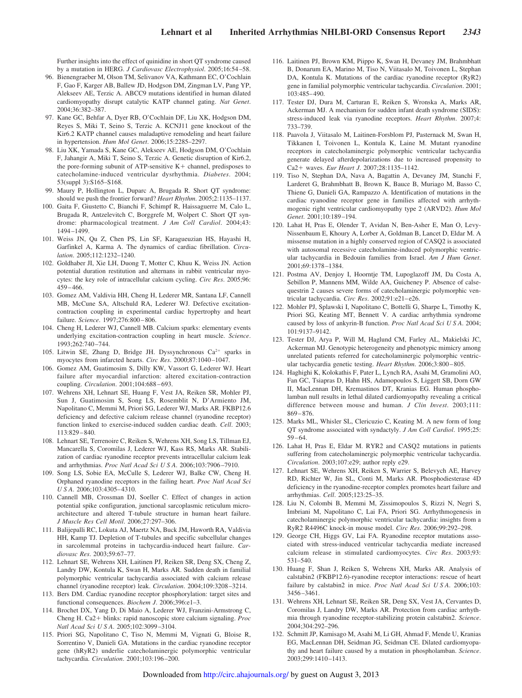Further insights into the effect of quinidine in short QT syndrome caused by a mutation in HERG. *J Cardiovasc Electrophysiol*. 2005;16:54–58.

- 96. Bienengraeber M, Olson TM, Selivanov VA, Kathmann EC, O'Cochlain F, Gao F, Karger AB, Ballew JD, Hodgson DM, Zingman LV, Pang YP, Alekseev AE, Terzic A. ABCC9 mutations identified in human dilated cardiomyopathy disrupt catalytic KATP channel gating. *Nat Genet*. 2004;36:382–387.
- 97. Kane GC, Behfar A, Dyer RB, O'Cochlain DF, Liu XK, Hodgson DM, Reyes S, Miki T, Seino S, Terzic A. KCNJ11 gene knockout of the Kir6.2 KATP channel causes maladaptive remodeling and heart failure in hypertension. *Hum Mol Genet*. 2006;15:2285–2297.
- 98. Liu XK, Yamada S, Kane GC, Alekseev AE, Hodgson DM, O'Cochlain F, Jahangir A, Miki T, Seino S, Terzic A. Genetic disruption of Kir6.2, the pore-forming subunit of ATP-sensitive  $K+$  channel, predisposes to catecholamine-induced ventricular dysrhythmia. *Diabetes*. 2004; 53(suppl 3):S165–S168.
- 99. Maury P, Hollington L, Duparc A, Brugada R. Short QT syndrome: should we push the frontier forward? *Heart Rhythm*. 2005;2:1135–1137.
- 100. Gaita F, Giustetto C, Bianchi F, Schimpf R, Haissaguerre M, Calo L, Brugada R, Antzelevitch C, Borggrefe M, Wolpert C. Short QT syndrome: pharmacological treatment. *J Am Coll Cardiol*. 2004;43: 1494–1499.
- 101. Weiss JN, Qu Z, Chen PS, Lin SF, Karagueuzian HS, Hayashi H, Garfinkel A, Karma A. The dynamics of cardiac fibrillation. *Circulation*. 2005;112:1232–1240.
- 102. Goldhaber JI, Xie LH, Duong T, Motter C, Khuu K, Weiss JN. Action potential duration restitution and alternans in rabbit ventricular myocytes: the key role of intracellular calcium cycling. *Circ Res*. 2005;96: 459–466.
- 103. Gomez AM, Valdivia HH, Cheng H, Lederer MR, Santana LF, Cannell MB, McCune SA, Altschuld RA, Lederer WJ. Defective excitationcontraction coupling in experimental cardiac hypertrophy and heart failure. *Science*. 1997;276:800–806.
- 104. Cheng H, Lederer WJ, Cannell MB. Calcium sparks: elementary events underlying excitation-contraction coupling in heart muscle. *Science*. 1993;262:740–744.
- 105. Litwin SE, Zhang D, Bridge JH. Dyssynchronous  $Ca^{2+}$  sparks in myocytes from infarcted hearts. *Circ Res*. 2000;87:1040–1047.
- 106. Gomez AM, Guatimosim S, Dilly KW, Vassort G, Lederer WJ. Heart failure after myocardial infarction: altered excitation-contraction coupling. *Circulation*. 2001;104:688–693.
- 107. Wehrens XH, Lehnart SE, Huang F, Vest JA, Reiken SR, Mohler PJ, Sun J, Guatimosim S, Song LS, Rosemblit N, D'Armiento JM, Napolitano C, Memmi M, Priori SG, Lederer WJ, Marks AR. FKBP12.6 deficiency and defective calcium release channel (ryanodine receptor) function linked to exercise-induced sudden cardiac death. *Cell*. 2003; 113:829–840.
- 108. Lehnart SE, Terrenoire C, Reiken S, Wehrens XH, Song LS, Tillman EJ, Mancarella S, Coromilas J, Lederer WJ, Kass RS, Marks AR. Stabilization of cardiac ryanodine receptor prevents intracellular calcium leak and arrhythmias. *Proc Natl Acad Sci U S A*. 2006;103:7906–7910.
- 109. Song LS, Sobie EA, McCulle S, Lederer WJ, Balke CW, Cheng H. Orphaned ryanodine receptors in the failing heart. *Proc Natl Acad Sci USA*. 2006;103:4305–4310.
- 110. Cannell MB, Crossman DJ, Soeller C. Effect of changes in action potential spike configuration, junctional sarcoplasmic reticulum microarchitecture and altered T-tubule structure in human heart failure. *J Muscle Res Cell Motil*. 2006;27:297–306.
- 111. Balijepalli RC, Lokuta AJ, Maertz NA, Buck JM, Haworth RA, Valdivia HH, Kamp TJ. Depletion of T-tubules and specific subcellular changes in sarcolemmal proteins in tachycardia-induced heart failure. *Cardiovasc Res*. 2003;59:67–77.
- 112. Lehnart SE, Wehrens XH, Laitinen PJ, Reiken SR, Deng SX, Cheng Z, Landry DW, Kontula K, Swan H, Marks AR. Sudden death in familial polymorphic ventricular tachycardia associated with calcium release channel (ryanodine receptor) leak. *Circulation*. 2004;109:3208–3214.
- 113. Bers DM. Cardiac ryanodine receptor phosphorylation: target sites and functional consequences. *Biochem J*. 2006;396:e1–3.
- 114. Brochet DX, Yang D, Di Maio A, Lederer WJ, Franzini-Armstrong C, Cheng H. Ca2+ blinks: rapid nanoscopic store calcium signaling. *Proc Natl Acad Sci U S A*. 2005;102:3099–3104.
- 115. Priori SG, Napolitano C, Tiso N, Memmi M, Vignati G, Bloise R, Sorrentino V, Danieli GA. Mutations in the cardiac ryanodine receptor gene (hRyR2) underlie catecholaminergic polymorphic ventricular tachycardia. *Circulation*. 2001;103:196–200.
- 116. Laitinen PJ, Brown KM, Piippo K, Swan H, Devaney JM, Brahmbhatt B, Donarum EA, Marino M, Tiso N, Viitasalo M, Toivonen L, Stephan DA, Kontula K. Mutations of the cardiac ryanodine receptor (RyR2) gene in familial polymorphic ventricular tachycardia. *Circulation*. 2001; 103:485–490.
- 117. Tester DJ, Dura M, Carturan E, Reiken S, Wronska A, Marks AR, Ackerman MJ. A mechanism for sudden infant death syndrome (SIDS): stress-induced leak via ryanodine receptors. *Heart Rhythm*. 2007;4: 733–739.
- 118. Paavola J, Viitasalo M, Laitinen-Forsblom PJ, Pasternack M, Swan H, Tikkanen I, Toivonen L, Kontula K, Laine M. Mutant ryanodine receptors in catecholaminergic polymorphic ventricular tachycardia generate delayed afterdepolarizations due to increased propensity to Ca2 waves. *Eur Heart J*. 2007;28:1135–1142.
- 119. Tiso N, Stephan DA, Nava A, Bagattin A, Devaney JM, Stanchi F, Larderet G, Brahmbhatt B, Brown K, Bauce B, Muriago M, Basso C, Thiene G, Danieli GA, Rampazzo A. Identification of mutations in the cardiac ryanodine receptor gene in families affected with arrhythmogenic right ventricular cardiomyopathy type 2 (ARVD2). *Hum Mol Genet*. 2001;10:189–194.
- 120. Lahat H, Pras E, Olender T, Avidan N, Ben-Asher E, Man O, Levy-Nissenbaum E, Khoury A, Lorber A, Goldman B, Lancet D, Eldar M. A missense mutation in a highly conserved region of CASQ2 is associated with autosomal recessive catecholamine-induced polymorphic ventricular tachycardia in Bedouin families from Israel. *Am J Hum Genet*. 2001;69:1378–1384.
- 121. Postma AV, Denjoy I, Hoorntje TM, Lupoglazoff JM, Da Costa A, Sebillon P, Mannens MM, Wilde AA, Guicheney P. Absence of calsequestrin 2 causes severe forms of catecholaminergic polymorphic ventricular tachycardia. *Circ Res*. 2002;91:e21–e26.
- 122. Mohler PJ, Splawski I, Napolitano C, Bottelli G, Sharpe L, Timothy K, Priori SG, Keating MT, Bennett V. A cardiac arrhythmia syndrome caused by loss of ankyrin-B function. *Proc Natl Acad Sci U S A*. 2004; 101:9137–9142.
- 123. Tester DJ, Arya P, Will M, Haglund CM, Farley AL, Makielski JC, Ackerman MJ. Genotypic heterogeneity and phenotypic mimicry among unrelated patients referred for catecholaminergic polymorphic ventricular tachycardia genetic testing. *Heart Rhythm*. 2006;3:800–805.
- 124. Haghighi K, Kolokathis F, Pater L, Lynch RA, Asahi M, Gramolini AO, Fan GC, Tsiapras D, Hahn HS, Adamopoulos S, Liggett SB, Dorn GW II, MacLennan DH, Kremastinos DT, Kranias EG. Human phospholamban null results in lethal dilated cardiomyopathy revealing a critical difference between mouse and human. *J Clin Invest*. 2003;111: 869–876.
- 125. Marks ML, Whisler SL, Clericuzio C, Keating M. A new form of long QT syndrome associated with syndactyly. *J Am Coll Cardiol*. 1995;25: 59–64.
- 126. Lahat H, Pras E, Eldar M. RYR2 and CASQ2 mutations in patients suffering from catecholaminergic polymorphic ventricular tachycardia. *Circulation*. 2003;107:e29; author reply e29.
- 127. Lehnart SE, Wehrens XH, Reiken S, Warrier S, Belevych AE, Harvey RD, Richter W, Jin SL, Conti M, Marks AR. Phosphodiesterase 4D deficiency in the ryanodine-receptor complex promotes heart failure and arrhythmias. *Cell*. 2005;123:25–35.
- 128. Liu N, Colombi B, Memmi M, Zissimopoulos S, Rizzi N, Negri S, Imbriani M, Napolitano C, Lai FA, Priori SG. Arrhythmogenesis in catecholaminergic polymorphic ventricular tachycardia: insights from a RyR2 R4496C knock-in mouse model. *Circ Res*. 2006;99:292–298.
- 129. George CH, Higgs GV, Lai FA. Ryanodine receptor mutations associated with stress-induced ventricular tachycardia mediate increased calcium release in stimulated cardiomyocytes. *Circ Res*. 2003;93: 531–540.
- 130. Huang F, Shan J, Reiken S, Wehrens XH, Marks AR. Analysis of calstabin2 (FKBP12.6)-ryanodine receptor interactions: rescue of heart failure by calstabin2 in mice. *Proc Natl Acad Sci U S A*. 2006;103: 3456–3461.
- 131. Wehrens XH, Lehnart SE, Reiken SR, Deng SX, Vest JA, Cervantes D, Coromilas J, Landry DW, Marks AR. Protection from cardiac arrhythmia through ryanodine receptor-stabilizing protein calstabin2. *Science*. 2004;304:292–296.
- 132. Schmitt JP, Kamisago M, Asahi M, Li GH, Ahmad F, Mende U, Kranias EG, MacLennan DH, Seidman JG, Seidman CE. Dilated cardiomyopathy and heart failure caused by a mutation in phospholamban. *Science*. 2003;299:1410–1413.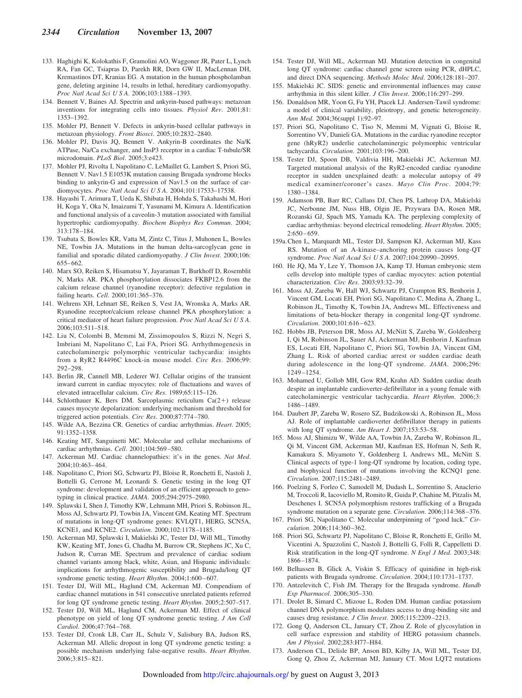- 133. Haghighi K, Kolokathis F, Gramolini AO, Waggoner JR, Pater L, Lynch RA, Fan GC, Tsiapras D, Parekh RR, Dorn GW II, MacLennan DH, Kremastinos DT, Kranias EG. A mutation in the human phospholamban gene, deleting arginine 14, results in lethal, hereditary cardiomyopathy. *Proc Natl Acad Sci U S A*. 2006;103:1388–1393.
- 134. Bennett V, Baines AJ. Spectrin and ankyrin-based pathways: metazoan inventions for integrating cells into tissues. *Physiol Rev*. 2001;81: 1353–1392.
- 135. Mohler PJ, Bennett V. Defects in ankyrin-based cellular pathways in metazoan physiology. *Front Biosci*. 2005;10:2832–2840.
- 136. Mohler PJ, Davis JQ, Bennett V. Ankyrin-B coordinates the Na/K ATPase, Na/Ca exchanger, and InsP3 receptor in a cardiac T-tubule/SR microdomain. *PLoS Biol*. 2005;3:e423.
- 137. Mohler PJ, Rivolta I, Napolitano C, LeMaillet G, Lambert S, Priori SG, Bennett V. Nav1.5 E1053K mutation causing Brugada syndrome blocks binding to ankyrin-G and expression of Nav1.5 on the surface of cardiomyocytes. *Proc Natl Acad Sci U S A*. 2004;101:17533–17538.
- 138. Hayashi T, Arimura T, Ueda K, Shibata H, Hohda S, Takahashi M, Hori H, Koga Y, Oka N, Imaizumi T, Yasunami M, Kimura A. Identification and functional analysis of a caveolin-3 mutation associated with familial hypertrophic cardiomyopathy. *Biochem Biophys Res Commun*. 2004; 313:178–184.
- 139. Tsubata S, Bowles KR, Vatta M, Zintz C, Titus J, Muhonen L, Bowles NE, Towbin JA. Mutations in the human delta-sarcoglycan gene in familial and sporadic dilated cardiomyopathy. *J Clin Invest*. 2000;106: 655–662.
- 140. Marx SO, Reiken S, Hisamatsu Y, Jayaraman T, Burkhoff D, Rosemblit N, Marks AR. PKA phosphorylation dissociates FKBP12.6 from the calcium release channel (ryanodine receptor): defective regulation in failing hearts. *Cell*. 2000;101:365–376.
- 141. Wehrens XH, Lehnart SE, Reiken S, Vest JA, Wronska A, Marks AR. Ryanodine receptor/calcium release channel PKA phosphorylation: a critical mediator of heart failure progression. *Proc Natl Acad Sci U S A*. 2006;103:511–518.
- 142. Liu N, Colombi B, Memmi M, Zissimopoulos S, Rizzi N, Negri S, Imbriani M, Napolitano C, Lai FA, Priori SG. Arrhythmogenesis in catecholaminergic polymorphic ventricular tachycardia: insights from a RyR2 R4496C knock-in mouse model. *Circ Res*. 2006;99: 292–298.
- 143. Berlin JR, Cannell MB, Lederer WJ. Cellular origins of the transient inward current in cardiac myocytes: role of fluctuations and waves of elevated intracellular calcium. *Circ Res*. 1989;65:115–126.
- 144. Schlotthauer K, Bers DM. Sarcoplasmic reticulum  $Ca(2+)$  release causes myocyte depolarization: underlying mechanism and threshold for triggered action potentials. *Circ Res*. 2000;87:774–780.
- 145. Wilde AA, Bezzina CR. Genetics of cardiac arrhythmias. *Heart*. 2005; 91:1352–1358.
- 146. Keating MT, Sanguinetti MC. Molecular and cellular mechanisms of cardiac arrhythmias. *Cell*. 2001;104:569–580.
- 147. Ackerman MJ. Cardiac channelopathies: it's in the genes. *Nat Med*. 2004;10:463–464.
- 148. Napolitano C, Priori SG, Schwartz PJ, Bloise R, Ronchetti E, Nastoli J, Bottelli G, Cerrone M, Leonardi S. Genetic testing in the long QT syndrome: development and validation of an efficient approach to genotyping in clinical practice. *JAMA*. 2005;294:2975–2980.
- 149. Splawski I, Shen J, Timothy KW, Lehmann MH, Priori S, Robinson JL, Moss AJ, Schwartz PJ, Towbin JA, Vincent GM, Keating MT. Spectrum of mutations in long-QT syndrome genes: KVLQT1, HERG, SCN5A, KCNE1, and KCNE2. *Circulation*. 2000;102:1178–1185.
- 150. Ackerman MJ, Splawski I, Makielski JC, Tester DJ, Will ML, Timothy KW, Keating MT, Jones G, Chadha M, Burrow CR, Stephens JC, Xu C, Judson R, Curran ME. Spectrum and prevalence of cardiac sodium channel variants among black, white, Asian, and Hispanic individuals: implications for arrhythmogenic susceptibility and Brugada/long QT syndrome genetic testing. *Heart Rhythm*. 2004;1:600–607.
- 151. Tester DJ, Will ML, Haglund CM, Ackerman MJ. Compendium of cardiac channel mutations in 541 consecutive unrelated patients referred for long QT syndrome genetic testing. *Heart Rhythm*. 2005;2:507–517.
- 152. Tester DJ, Will ML, Haglund CM, Ackerman MJ. Effect of clinical phenotype on yield of long QT syndrome genetic testing. *J Am Coll Cardiol*. 2006;47:764–768.
- 153. Tester DJ, Cronk LB, Carr JL, Schulz V, Salisbury BA, Judson RS, Ackerman MJ. Allelic dropout in long QT syndrome genetic testing: a possible mechanism underlying false-negative results. *Heart Rhythm*. 2006;3:815–821.
- 154. Tester DJ, Will ML, Ackerman MJ. Mutation detection in congenital long QT syndrome: cardiac channel gene screen using PCR, dHPLC, and direct DNA sequencing. *Methods Molec Med*. 2006;128:181–207.
- 155. Makielski JC. SIDS: genetic and environmental influences may cause arrhythmia in this silent killer. *J Clin Invest*. 2006;116:297–299.
- 156. Donaldson MR, Yoon G, Fu YH, Ptacek LJ. Andersen-Tawil syndrome: a model of clinical variability, pleiotropy, and genetic heterogeneity. *Ann Med*. 2004;36(suppl 1):92–97.
- 157. Priori SG, Napolitano C, Tiso N, Memmi M, Vignati G, Bloise R, Sorrentino VV, Danieli GA. Mutations in the cardiac ryanodine receptor gene (hRyR2) underlie catecholaminergic polymorphic ventricular tachycardia. *Circulation*. 2001;103:196–200.
- 158. Tester DJ, Spoon DB, Valdivia HH, Makielski JC, Ackerman MJ. Targeted mutational analysis of the RyR2-encoded cardiac ryanodine receptor in sudden unexplained death: a molecular autopsy of 49 medical examiner/coroner's cases. *Mayo Clin Proc*. 2004;79: 1380–1384.
- 159. Adamson PB, Barr RC, Callans DJ, Chen PS, Lathrop DA, Makielski JC, Nerbonne JM, Nuss HB, Olgin JE, Przywara DA, Rosen MR, Rozanski GJ, Spach MS, Yamada KA. The perplexing complexity of cardiac arrhythmias: beyond electrical remodeling. *Heart Rhythm*. 2005; 2:650–659.
- 159a.Chen L, Marquardt ML, Tester DJ, Sampson KJ, Ackerman MJ, Kass RS. Mutation of an A-kinase–anchoring protein causes long-QT syndrome. *Proc Natl Acad Sci U S A*. 2007;104:20990–20995.
- 160. He JQ, Ma Y, Lee Y, Thomson JA, Kamp TJ. Human embryonic stem cells develop into multiple types of cardiac myocytes: action potential characterization. *Circ Res*. 2003;93:32–39.
- 161. Moss AJ, Zareba W, Hall WJ, Schwartz PJ, Crampton RS, Benhorin J, Vincent GM, Locati EH, Priori SG, Napolitano C, Medina A, Zhang L, Robinson JL, Timothy K, Towbin JA, Andrews ML. Effectiveness and limitations of beta-blocker therapy in congenital long-QT syndrome. *Circulation*. 2000;101:616–623.
- 162. Hobbs JB, Peterson DR, Moss AJ, McNitt S, Zareba W, Goldenberg I, Qi M, Robinson JL, Sauer AJ, Ackerman MJ, Benhorin J, Kaufman ES, Locati EH, Napolitano C, Priori SG, Towbin JA, Vincent GM, Zhang L. Risk of aborted cardiac arrest or sudden cardiac death during adolescence in the long-QT syndrome. *JAMA*. 2006;296: 1249–1254.
- 163. Mohamed U, Gollob MH, Gow RM, Krahn AD. Sudden cardiac death despite an implantable cardioverter-defibrillator in a young female with catecholaminergic ventricular tachycardia. *Heart Rhythm*. 2006;3: 1486–1489.
- 164. Daubert JP, Zareba W, Rosero SZ, Budzikowski A, Robinson JL, Moss AJ. Role of implantable cardioverter defibrillator therapy in patients with long QT syndrome. *Am Heart J*. 2007;153:53–58.
- 165. Moss AJ, Shimizu W, Wilde AA, Towbin JA, Zareba W, Robinson JL, Qi M, Vincent GM, Ackerman MJ, Kaufman ES, Hofman N, Seth R, Kamakura S, Miyamoto Y, Goldenberg I, Andrews ML, McNitt S. Clinical aspects of type-1 long-QT syndrome by location, coding type, and biophysical function of mutations involving the KCNQ1 gene. *Circulation*. 2007;115:2481–2489.
- 166. Poelzing S, Forleo C, Samodell M, Dudash L, Sorrentino S, Anaclerio M, Troccoli R, Iacoviello M, Romito R, Guida P, Chahine M, Pitzalis M, Deschenes I. SCN5A polymorphism restores trafficking of a Brugada syndrome mutation on a separate gene. *Circulation*. 2006;114:368–376.
- 167. Priori SG, Napolitano C. Molecular underpinning of "good luck." *Circulation*. 2006;114:360–362.
- 168. Priori SG, Schwartz PJ, Napolitano C, Bloise R, Ronchetti E, Grillo M, Vicentini A, Spazzolini C, Nastoli J, Bottelli G, Folli R, Cappelletti D. Risk stratification in the long-QT syndrome. *N Engl J Med*. 2003;348: 1866–1874.
- 169. Belhassen B, Glick A, Viskin S. Efficacy of quinidine in high-risk patients with Brugada syndrome. *Circulation*. 2004;110:1731–1737.
- 170. Antzelevitch C, Fish JM. Therapy for the Brugada syndrome. *Handb Exp Pharmacol*. 2006;305–330.
- 171. Drolet B, Simard C, Mizoue L, Roden DM. Human cardiac potassium channel DNA polymorphism modulates access to drug-binding site and causes drug resistance. *J Clin Invest*. 2005;115:2209–2213.
- 172. Gong Q, Anderson CL, January CT, Zhou Z. Role of glycosylation in cell surface expression and stability of HERG potassium channels. *Am J Physiol*. 2002;283:H77–H84.
- 173. Anderson CL, Delisle BP, Anson BD, Kilby JA, Will ML, Tester DJ, Gong Q, Zhou Z, Ackerman MJ, January CT. Most LQT2 mutations